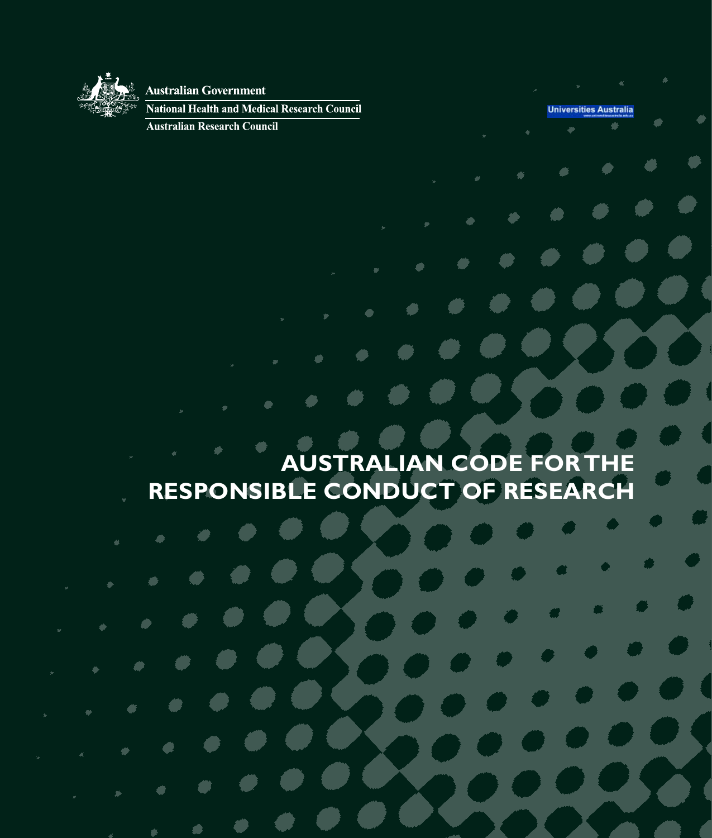

### **Australian Government**

National Health and Medical Research Council

**Australian Research Council** 

**Universities Australia** 

# **Australian Code for the Responsible Conduct of Research**

£,

×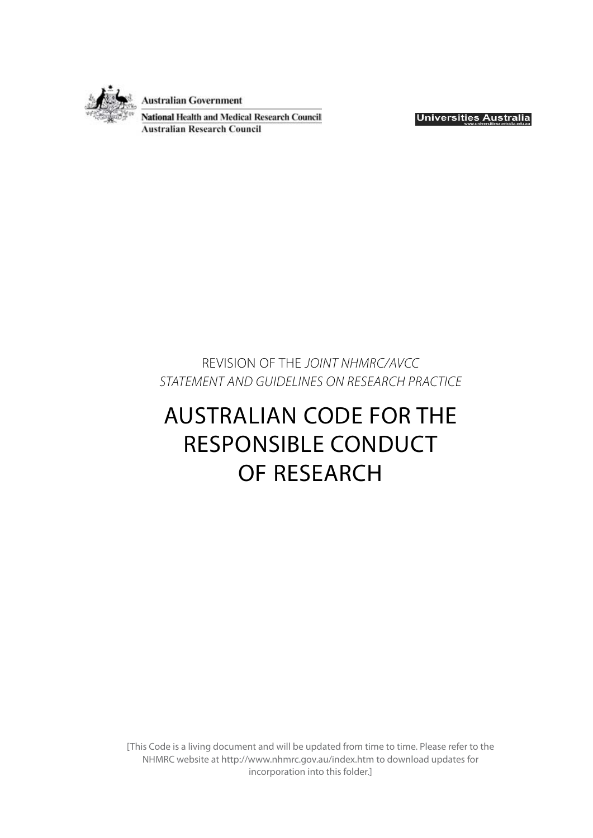

**Australian Government** 

**National Health and Medical Research Council Australian Research Council** 

**Universities Australia** 

REVISION OF THE *JOINT NHMRC/AVCC STATEMENT AND GUIDELINES ON RESEARCH PRACTICE*

# AUSTRALIAN CODE FOR THE RESPONSIBLE CONDUCT OF RESEARCH

[This Code is a living document and will be updated from time to time. Please refer to the NHMRC website at http://www.nhmrc.gov.au/index.htm to download updates for incorporation into this folder.]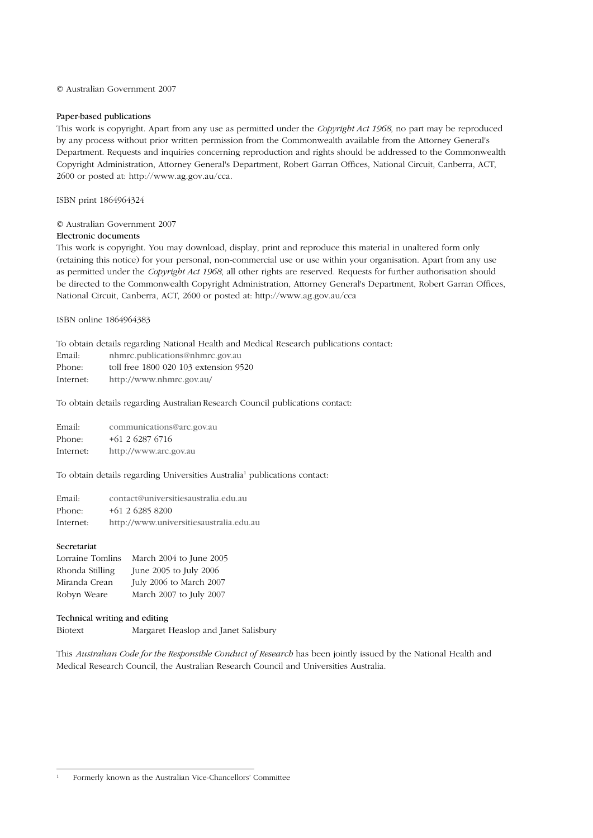#### © Australian Government 2007

#### Paper-based publications

This work is copyright. Apart from any use as permitted under the *Copyright Act 1968*, no part may be reproduced by any process without prior written permission from the Commonwealth available from the Attorney General's Department. Requests and inquiries concerning reproduction and rights should be addressed to the Commonwealth Copyright Administration, Attorney General's Department, Robert Garran Offices, National Circuit, Canberra, ACT, 2600 or posted at: http://www.ag.gov.au/cca.

ISBN print 1864964324

#### © Australian Government 2007

#### Electronic documents

This work is copyright. You may download, display, print and reproduce this material in unaltered form only (retaining this notice) for your personal, non-commercial use or use within your organisation. Apart from any use as permitted under the *Copyright Act 1968*, all other rights are reserved. Requests for further authorisation should be directed to the Commonwealth Copyright Administration, Attorney General's Department, Robert Garran Offices, National Circuit, Canberra, ACT, 2600 or posted at: http://www.ag.gov.au/cca

ISBN online 1864964383

To obtain details regarding National Health and Medical Research publications contact:

Email: nhmrc.publications@nhmrc.gov.au

Phone: toll free 1800 020 103 extension 9520

Internet: http://www.nhmrc.gov.au/

To obtain details regarding Australian Research Council publications contact:

Email: communications@arc.gov.au Phone: +61 2 6287 6716 Internet: http://www.arc.gov.au

To obtain details regarding Universities Australia<sup>1</sup> publications contact:

| Email:    | contact@universitiesaustralia.edu.au    |
|-----------|-----------------------------------------|
| Phone:    | $+61$ 2 6285 8200                       |
| Internet: | http://www.universitiesaustralia.edu.au |

#### Secretariat

| Lorraine Tomlins | March 2004 to June 2005 |
|------------------|-------------------------|
| Rhonda Stilling  | June 2005 to July 2006  |
| Miranda Crean    | July 2006 to March 2007 |
| Robyn Weare      | March 2007 to July 2007 |

#### Technical writing and editing

Biotext Margaret Heaslop and Janet Salisbury

This *Australian Code for the Responsible Conduct of Research* has been jointly issued by the National Health and Medical Research Council, the Australian Research Council and Universities Australia.

<sup>1</sup> Formerly known as the Australian Vice-Chancellors' Committee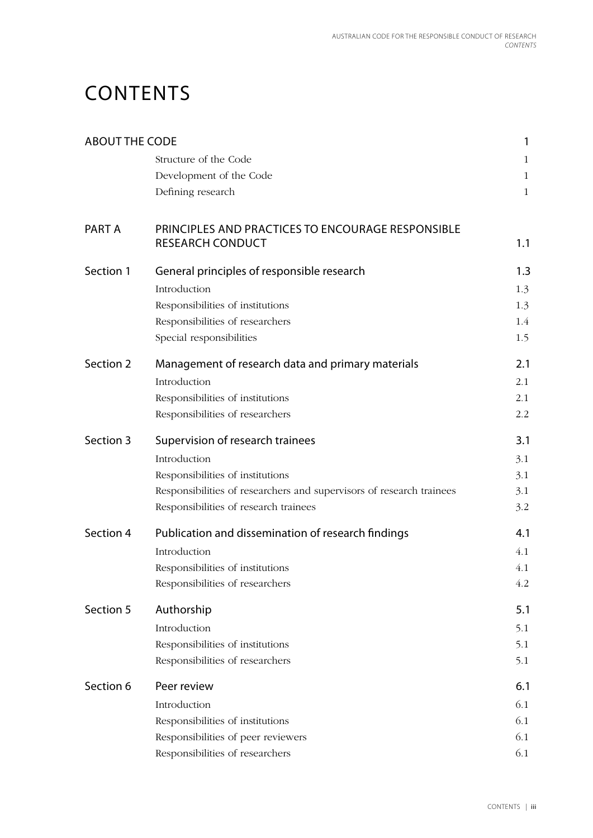# **CONTENTS**

| <b>ABOUT THE CODE</b> |                                                                              | 1            |
|-----------------------|------------------------------------------------------------------------------|--------------|
|                       | Structure of the Code                                                        | $\mathbf{1}$ |
|                       | Development of the Code                                                      | $\mathbf{1}$ |
|                       | Defining research                                                            | $\mathbf{1}$ |
| PART A                | PRINCIPLES AND PRACTICES TO ENCOURAGE RESPONSIBLE<br><b>RESEARCH CONDUCT</b> | 1.1          |
| Section 1             | General principles of responsible research                                   | 1.3          |
|                       | Introduction                                                                 | 1.3          |
|                       | Responsibilities of institutions                                             | 1.3          |
|                       | Responsibilities of researchers                                              | 1.4          |
|                       | Special responsibilities                                                     | 1.5          |
| Section 2             | Management of research data and primary materials                            | 2.1          |
|                       | Introduction                                                                 | 2.1          |
|                       | Responsibilities of institutions                                             | 2.1          |
|                       | Responsibilities of researchers                                              | 2.2          |
| Section 3             | Supervision of research trainees                                             | 3.1          |
|                       | Introduction                                                                 | 3.1          |
|                       | Responsibilities of institutions                                             | 3.1          |
|                       | Responsibilities of researchers and supervisors of research trainees         | 3.1          |
|                       | Responsibilities of research trainees                                        | 3.2          |
| Section 4             | Publication and dissemination of research findings                           | 4.1          |
|                       | Introduction                                                                 | 4.1          |
|                       | Responsibilities of institutions                                             | 4.1          |
|                       | Responsibilities of researchers                                              | 4.2          |
| Section 5             | Authorship                                                                   | 5.1          |
|                       | Introduction                                                                 | 5.1          |
|                       | Responsibilities of institutions                                             | 5.1          |
|                       | Responsibilities of researchers                                              | 5.1          |
| Section 6             | Peer review                                                                  | 6.1          |
|                       | Introduction                                                                 | 6.1          |
|                       | Responsibilities of institutions                                             | 6.1          |
|                       | Responsibilities of peer reviewers                                           | 6.1          |
|                       | Responsibilities of researchers                                              | 6.1          |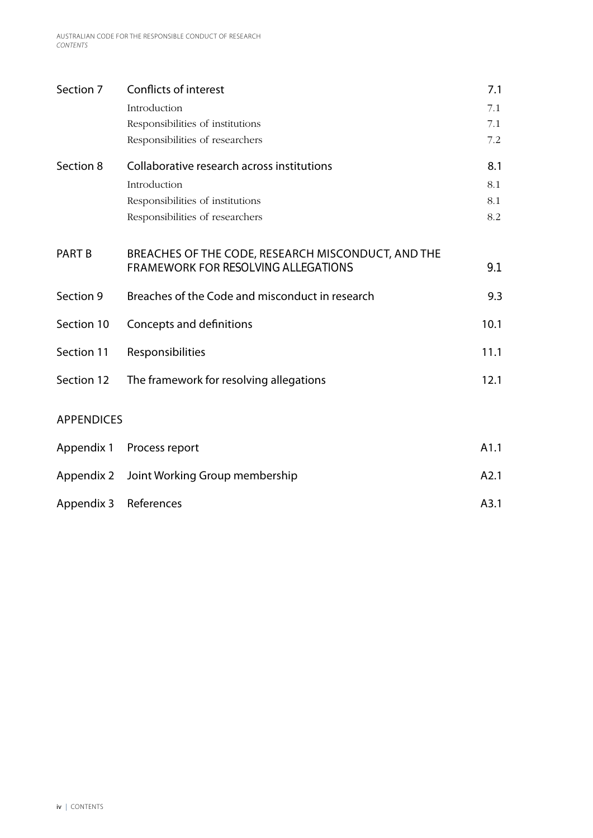| Section 7         | Conflicts of interest                              | 7.1  |
|-------------------|----------------------------------------------------|------|
|                   | Introduction                                       | 7.1  |
|                   | Responsibilities of institutions                   | 7.1  |
|                   | Responsibilities of researchers                    | 7.2  |
| Section 8         | Collaborative research across institutions         | 8.1  |
|                   | Introduction                                       | 8.1  |
|                   | Responsibilities of institutions                   | 8.1  |
|                   | Responsibilities of researchers                    | 8.2  |
|                   |                                                    |      |
| <b>PART B</b>     | BREACHES OF THE CODE, RESEARCH MISCONDUCT, AND THE |      |
|                   | <b>FRAMEWORK FOR RESOLVING ALLEGATIONS</b>         | 9.1  |
| Section 9         | Breaches of the Code and misconduct in research    | 9.3  |
| Section 10        | Concepts and definitions                           | 10.1 |
|                   |                                                    |      |
| Section 11        | Responsibilities                                   | 11.1 |
| Section 12        | The framework for resolving allegations            | 12.1 |
|                   |                                                    |      |
| <b>APPENDICES</b> |                                                    |      |
| Appendix 1        | Process report                                     | A1.1 |
|                   |                                                    |      |
| Appendix 2        | Joint Working Group membership                     | A2.1 |
| Appendix 3        | References                                         | A3.1 |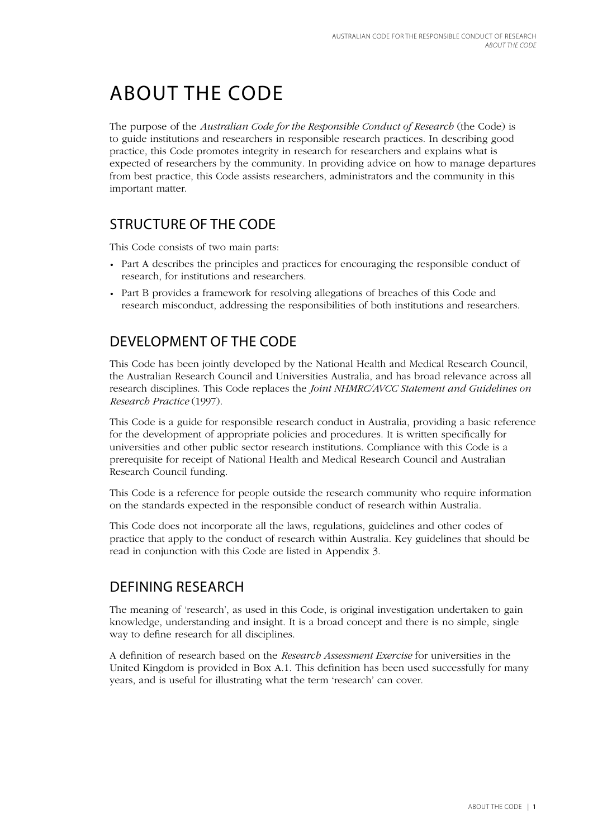# About the Code

The purpose of the *Australian Code for the Responsible Conduct of Research* (the Code) is to guide institutions and researchers in responsible research practices. In describing good practice, this Code promotes integrity in research for researchers and explains what is expected of researchers by the community. In providing advice on how to manage departures from best practice, this Code assists researchers, administrators and the community in this important matter.

## Structure of the Code

This Code consists of two main parts:

- Part A describes the principles and practices for encouraging the responsible conduct of research, for institutions and researchers.
- Part B provides a framework for resolving allegations of breaches of this Code and research misconduct, addressing the responsibilities of both institutions and researchers.

## Development of the Code

This Code has been jointly developed by the National Health and Medical Research Council, the Australian Research Council and Universities Australia, and has broad relevance across all research disciplines. This Code replaces the *Joint NHMRC/AVCC Statement and Guidelines on Research Practice* (1997).

This Code is a guide for responsible research conduct in Australia, providing a basic reference for the development of appropriate policies and procedures. It is written specifically for universities and other public sector research institutions. Compliance with this Code is a prerequisite for receipt of National Health and Medical Research Council and Australian Research Council funding.

This Code is a reference for people outside the research community who require information on the standards expected in the responsible conduct of research within Australia.

This Code does not incorporate all the laws, regulations, guidelines and other codes of practice that apply to the conduct of research within Australia. Key guidelines that should be read in conjunction with this Code are listed in Appendix 3.

## Defining research

The meaning of 'research', as used in this Code, is original investigation undertaken to gain knowledge, understanding and insight. It is a broad concept and there is no simple, single way to define research for all disciplines.

A definition of research based on the *Research Assessment Exercise* for universities in the United Kingdom is provided in Box A.1. This definition has been used successfully for many years, and is useful for illustrating what the term 'research' can cover.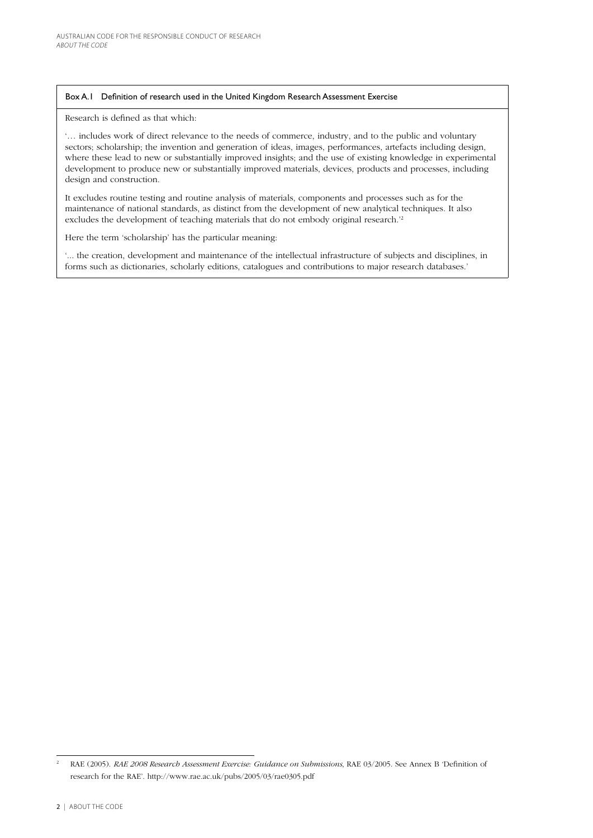#### Box A.1 Definition of research used in the United Kingdom Research Assessment Exercise

Research is defined as that which:

'… includes work of direct relevance to the needs of commerce, industry, and to the public and voluntary sectors; scholarship; the invention and generation of ideas, images, performances, artefacts including design, where these lead to new or substantially improved insights; and the use of existing knowledge in experimental development to produce new or substantially improved materials, devices, products and processes, including design and construction.

It excludes routine testing and routine analysis of materials, components and processes such as for the maintenance of national standards, as distinct from the development of new analytical techniques. It also excludes the development of teaching materials that do not embody original research.'2

Here the term 'scholarship' has the particular meaning:

'... the creation, development and maintenance of the intellectual infrastructure of subjects and disciplines, in forms such as dictionaries, scholarly editions, catalogues and contributions to major research databases.'

<sup>2</sup> RAE (2005). *RAE 2008 Research Assessment Exercise: Guidance on Submissions*, RAE 03/2005. See Annex B 'Definition of research for the RAE'. http://www.rae.ac.uk/pubs/2005/03/rae0305.pdf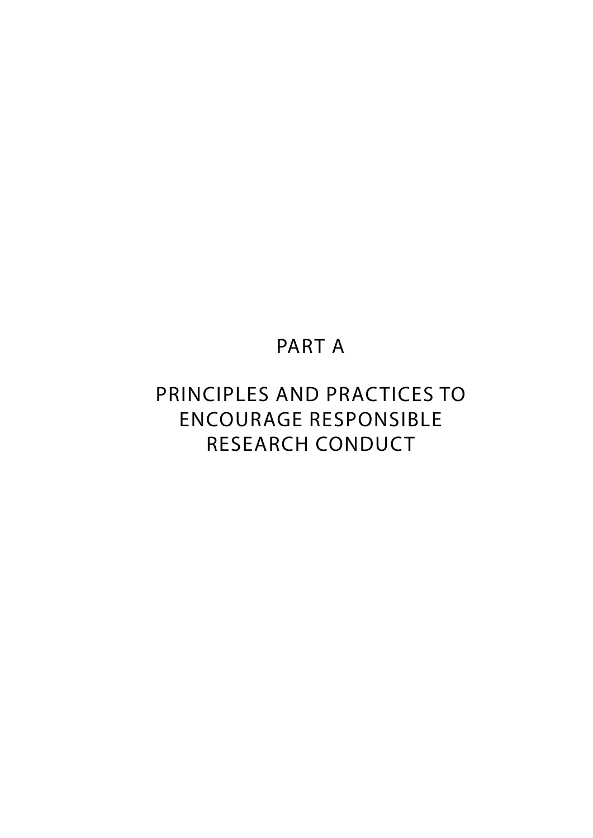## PART A

## PRINCIPLES AND PRACTICES TO ENCOURAGE RESPONSIBLE RESEARCH CONDUCT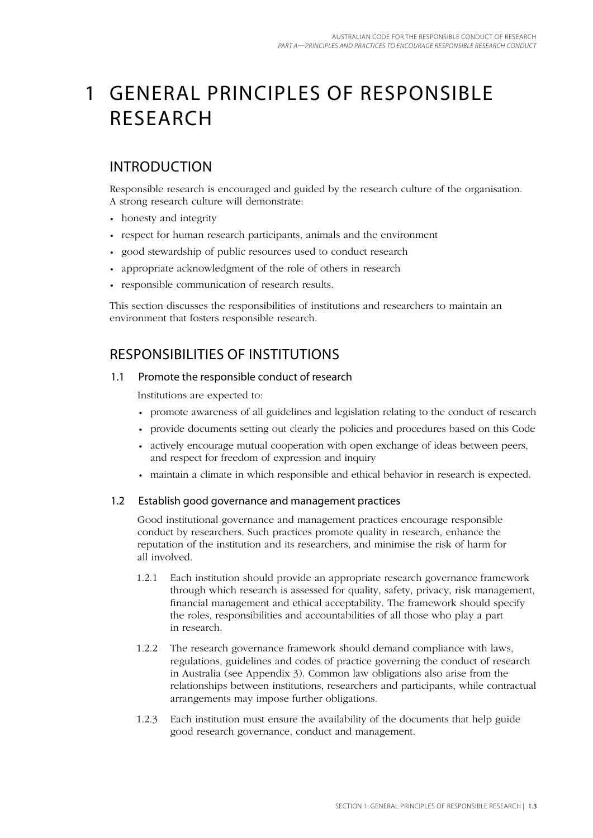## 1 General principles of responsible **RESEARCH**

## Introduction

Responsible research is encouraged and guided by the research culture of the organisation. A strong research culture will demonstrate:

- honesty and integrity
- respect for human research participants, animals and the environment
- good stewardship of public resources used to conduct research
- appropriate acknowledgment of the role of others in research
- responsible communication of research results.

This section discusses the responsibilities of institutions and researchers to maintain an environment that fosters responsible research.

## Responsibilities of institutions

### 1.1 Promote the responsible conduct of research

Institutions are expected to:

- promote awareness of all guidelines and legislation relating to the conduct of research
- provide documents setting out clearly the policies and procedures based on this Code
- actively encourage mutual cooperation with open exchange of ideas between peers, and respect for freedom of expression and inquiry
- maintain a climate in which responsible and ethical behavior in research is expected.

### 1.2 Establish good governance and management practices

Good institutional governance and management practices encourage responsible conduct by researchers. Such practices promote quality in research, enhance the reputation of the institution and its researchers, and minimise the risk of harm for all involved.

- 1.2.1 Each institution should provide an appropriate research governance framework through which research is assessed for quality, safety, privacy, risk management, financial management and ethical acceptability. The framework should specify the roles, responsibilities and accountabilities of all those who play a part in research.
- 1.2.2 The research governance framework should demand compliance with laws, regulations, guidelines and codes of practice governing the conduct of research in Australia (see Appendix 3). Common law obligations also arise from the relationships between institutions, researchers and participants, while contractual arrangements may impose further obligations.
- 1.2.3 Each institution must ensure the availability of the documents that help guide good research governance, conduct and management.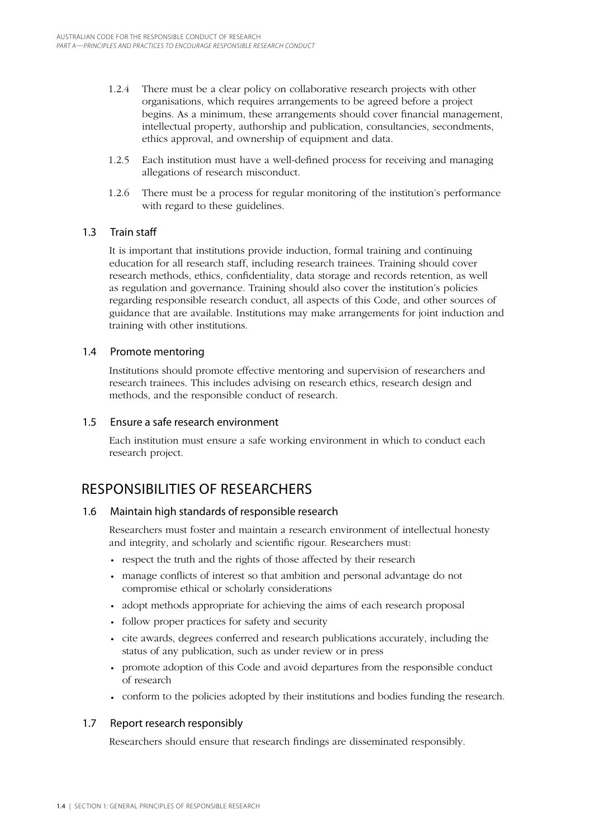- 1.2.4 There must be a clear policy on collaborative research projects with other organisations, which requires arrangements to be agreed before a project begins. As a minimum, these arrangements should cover financial management, intellectual property, authorship and publication, consultancies, secondments, ethics approval, and ownership of equipment and data.
- 1.2.5 Each institution must have a well-defined process for receiving and managing allegations of research misconduct.
- 1.2.6 There must be a process for regular monitoring of the institution's performance with regard to these guidelines.

### 1.3 Train staff

It is important that institutions provide induction, formal training and continuing education for all research staff, including research trainees. Training should cover research methods, ethics, confidentiality, data storage and records retention, as well as regulation and governance. Training should also cover the institution's policies regarding responsible research conduct, all aspects of this Code, and other sources of guidance that are available. Institutions may make arrangements for joint induction and training with other institutions.

#### 1.4 Promote mentoring

Institutions should promote effective mentoring and supervision of researchers and research trainees. This includes advising on research ethics, research design and methods, and the responsible conduct of research.

#### 1.5 Ensure a safe research environment

Each institution must ensure a safe working environment in which to conduct each research project.

## Responsibilities of researchers

### 1.6 Maintain high standards of responsible research

Researchers must foster and maintain a research environment of intellectual honesty and integrity, and scholarly and scientific rigour. Researchers must:

- respect the truth and the rights of those affected by their research
- manage conflicts of interest so that ambition and personal advantage do not compromise ethical or scholarly considerations
- adopt methods appropriate for achieving the aims of each research proposal
- follow proper practices for safety and security
- cite awards, degrees conferred and research publications accurately, including the status of any publication, such as under review or in press
- promote adoption of this Code and avoid departures from the responsible conduct of research
- conform to the policies adopted by their institutions and bodies funding the research.

### 1.7 Report research responsibly

Researchers should ensure that research findings are disseminated responsibly.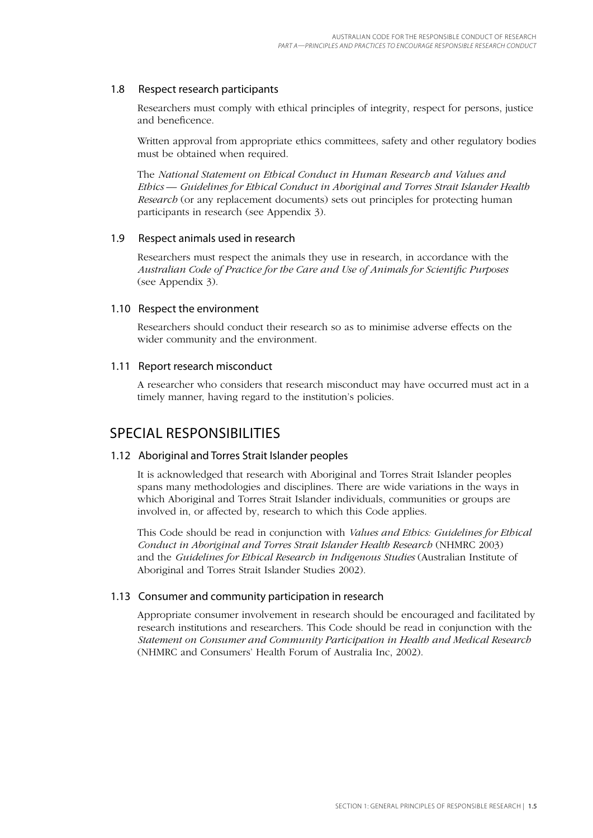#### 1.8 Respect research participants

Researchers must comply with ethical principles of integrity, respect for persons, justice and beneficence.

Written approval from appropriate ethics committees, safety and other regulatory bodies must be obtained when required.

The *National Statement on Ethical Conduct in Human Research and Values and Ethics — Guidelines for Ethical Conduct in Aboriginal and Torres Strait Islander Health Research* (or any replacement documents) sets out principles for protecting human participants in research (see Appendix 3).

#### 1.9 Respect animals used in research

Researchers must respect the animals they use in research, in accordance with the *Australian Code of Practice for the Care and Use of Animals for Scientific Purposes* (see Appendix 3).

#### 1.10 Respect the environment

Researchers should conduct their research so as to minimise adverse effects on the wider community and the environment.

#### 1.11 Report research misconduct

A researcher who considers that research misconduct may have occurred must act in a timely manner, having regard to the institution's policies.

### SPECIAL RESPONSIBILITIES

#### 1.12 Aboriginal and Torres Strait Islander peoples

It is acknowledged that research with Aboriginal and Torres Strait Islander peoples spans many methodologies and disciplines. There are wide variations in the ways in which Aboriginal and Torres Strait Islander individuals, communities or groups are involved in, or affected by, research to which this Code applies.

This Code should be read in conjunction with *Values and Ethics: Guidelines for Ethical Conduct in Aboriginal and Torres Strait Islander Health Research* (NHMRC 2003) and the *Guidelines for Ethical Research in Indigenous Studies* (Australian Institute of Aboriginal and Torres Strait Islander Studies 2002).

### 1.13 Consumer and community participation in research

Appropriate consumer involvement in research should be encouraged and facilitated by research institutions and researchers. This Code should be read in conjunction with the *Statement on Consumer and Community Participation in Health and Medical Research* (NHMRC and Consumers' Health Forum of Australia Inc, 2002).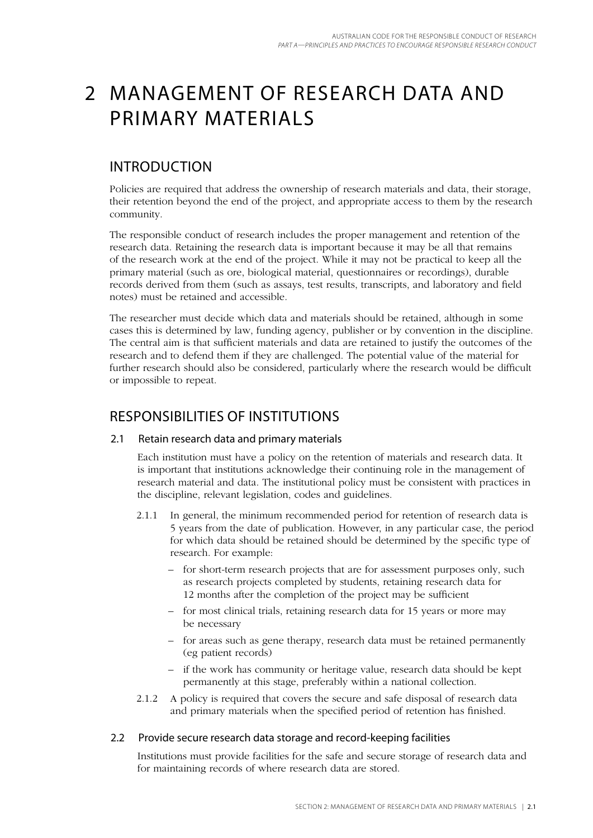## 2 Management of research data and primary materials

## **INTRODUCTION**

Policies are required that address the ownership of research materials and data, their storage, their retention beyond the end of the project, and appropriate access to them by the research community.

The responsible conduct of research includes the proper management and retention of the research data. Retaining the research data is important because it may be all that remains of the research work at the end of the project. While it may not be practical to keep all the primary material (such as ore, biological material, questionnaires or recordings), durable records derived from them (such as assays, test results, transcripts, and laboratory and field notes) must be retained and accessible.

The researcher must decide which data and materials should be retained, although in some cases this is determined by law, funding agency, publisher or by convention in the discipline. The central aim is that sufficient materials and data are retained to justify the outcomes of the research and to defend them if they are challenged. The potential value of the material for further research should also be considered, particularly where the research would be difficult or impossible to repeat.

### Responsibilities of institutions

### 2.1 Retain research data and primary materials

Each institution must have a policy on the retention of materials and research data. It is important that institutions acknowledge their continuing role in the management of research material and data. The institutional policy must be consistent with practices in the discipline, relevant legislation, codes and guidelines.

- 2.1.1 In general, the minimum recommended period for retention of research data is 5 years from the date of publication. However, in any particular case, the period for which data should be retained should be determined by the specific type of research. For example:
	- for short-term research projects that are for assessment purposes only, such as research projects completed by students, retaining research data for 12 months after the completion of the project may be sufficient
	- for most clinical trials, retaining research data for 15 years or more may be necessary
	- for areas such as gene therapy, research data must be retained permanently (eg patient records)
	- if the work has community or heritage value, research data should be kept permanently at this stage, preferably within a national collection.
- 2.1.2 A policy is required that covers the secure and safe disposal of research data and primary materials when the specified period of retention has finished.

### 2.2 Provide secure research data storage and record-keeping facilities

Institutions must provide facilities for the safe and secure storage of research data and for maintaining records of where research data are stored.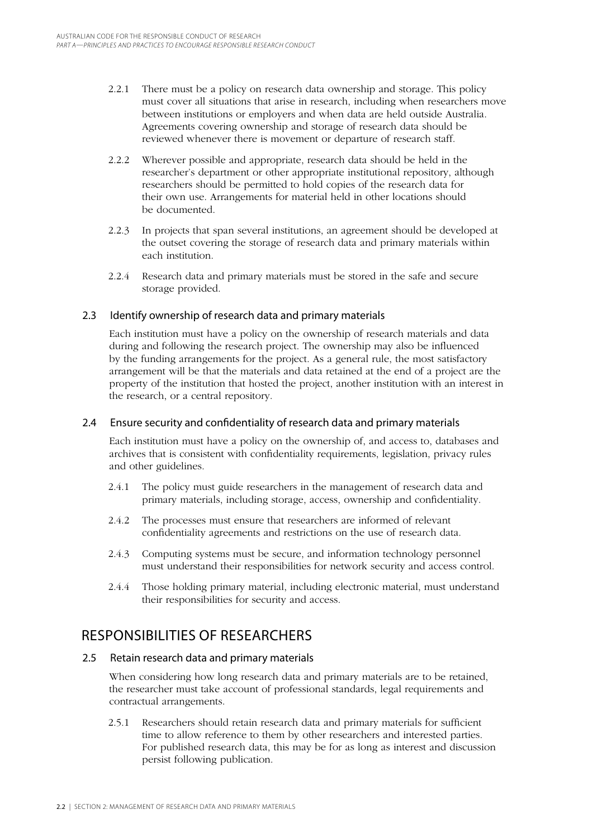- 2.2.1 There must be a policy on research data ownership and storage. This policy must cover all situations that arise in research, including when researchers move between institutions or employers and when data are held outside Australia. Agreements covering ownership and storage of research data should be reviewed whenever there is movement or departure of research staff.
- 2.2.2 Wherever possible and appropriate, research data should be held in the researcher's department or other appropriate institutional repository, although researchers should be permitted to hold copies of the research data for their own use. Arrangements for material held in other locations should be documented.
- 2.2.3 In projects that span several institutions, an agreement should be developed at the outset covering the storage of research data and primary materials within each institution.
- 2.2.4 Research data and primary materials must be stored in the safe and secure storage provided.

### 2.3 Identify ownership of research data and primary materials

Each institution must have a policy on the ownership of research materials and data during and following the research project. The ownership may also be influenced by the funding arrangements for the project. As a general rule, the most satisfactory arrangement will be that the materials and data retained at the end of a project are the property of the institution that hosted the project, another institution with an interest in the research, or a central repository.

### 2.4 Ensure security and confidentiality of research data and primary materials

Each institution must have a policy on the ownership of, and access to, databases and archives that is consistent with confidentiality requirements, legislation, privacy rules and other guidelines.

- 2.4.1 The policy must guide researchers in the management of research data and primary materials, including storage, access, ownership and confidentiality.
- 2.4.2 The processes must ensure that researchers are informed of relevant confidentiality agreements and restrictions on the use of research data.
- 2.4.3 Computing systems must be secure, and information technology personnel must understand their responsibilities for network security and access control.
- 2.4.4 Those holding primary material, including electronic material, must understand their responsibilities for security and access.

## Responsibilities of researchers

### 2.5 Retain research data and primary materials

When considering how long research data and primary materials are to be retained, the researcher must take account of professional standards, legal requirements and contractual arrangements.

2.5.1 Researchers should retain research data and primary materials for sufficient time to allow reference to them by other researchers and interested parties. For published research data, this may be for as long as interest and discussion persist following publication.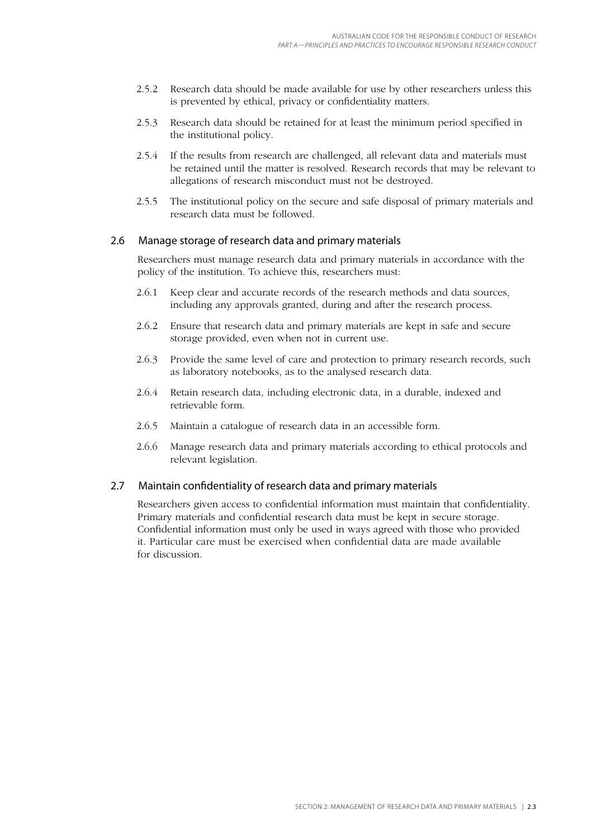- 2.5.2 Research data should be made available for use by other researchers unless this is prevented by ethical, privacy or confidentiality matters.
- 2.5.3 Research data should be retained for at least the minimum period specified in the institutional policy.
- 2.5.4 If the results from research are challenged, all relevant data and materials must be retained until the matter is resolved. Research records that may be relevant to allegations of research misconduct must not be destroyed.
- 2.5.5 The institutional policy on the secure and safe disposal of primary materials and research data must be followed.

#### 2.6 Manage storage of research data and primary materials

Researchers must manage research data and primary materials in accordance with the policy of the institution. To achieve this, researchers must:

- 2.6.1 Keep clear and accurate records of the research methods and data sources, including any approvals granted, during and after the research process.
- 2.6.2 Ensure that research data and primary materials are kept in safe and secure storage provided, even when not in current use.
- 2.6.3 Provide the same level of care and protection to primary research records, such as laboratory notebooks, as to the analysed research data.
- 2.6.4 Retain research data, including electronic data, in a durable, indexed and retrievable form.
- 2.6.5 Maintain a catalogue of research data in an accessible form.
- 2.6.6 Manage research data and primary materials according to ethical protocols and relevant legislation.

#### 2.7 Maintain confidentiality of research data and primary materials

Researchers given access to confidential information must maintain that confidentiality. Primary materials and confidential research data must be kept in secure storage. Confidential information must only be used in ways agreed with those who provided it. Particular care must be exercised when confidential data are made available for discussion.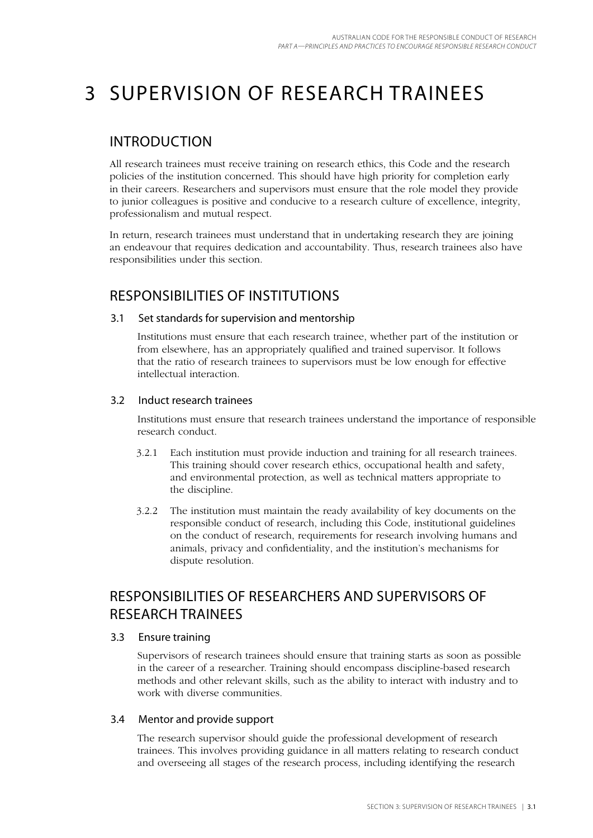# 3 Supervision of research trainees

### **INTRODUCTION**

All research trainees must receive training on research ethics, this Code and the research policies of the institution concerned. This should have high priority for completion early in their careers. Researchers and supervisors must ensure that the role model they provide to junior colleagues is positive and conducive to a research culture of excellence, integrity, professionalism and mutual respect.

In return, research trainees must understand that in undertaking research they are joining an endeavour that requires dedication and accountability. Thus, research trainees also have responsibilities under this section.

## Responsibilities of institutions

### 3.1 Set standards for supervision and mentorship

Institutions must ensure that each research trainee, whether part of the institution or from elsewhere, has an appropriately qualified and trained supervisor. It follows that the ratio of research trainees to supervisors must be low enough for effective intellectual interaction.

### 3.2 Induct research trainees

Institutions must ensure that research trainees understand the importance of responsible research conduct.

- 3.2.1 Each institution must provide induction and training for all research trainees. This training should cover research ethics, occupational health and safety, and environmental protection, as well as technical matters appropriate to the discipline.
- 3.2.2 The institution must maintain the ready availability of key documents on the responsible conduct of research, including this Code, institutional guidelines on the conduct of research, requirements for research involving humans and animals, privacy and confidentiality, and the institution's mechanisms for dispute resolution.

## Responsibilities of researchers and supervisors of research trainees

#### 3.3 Ensure training

Supervisors of research trainees should ensure that training starts as soon as possible in the career of a researcher. Training should encompass discipline-based research methods and other relevant skills, such as the ability to interact with industry and to work with diverse communities.

### 3.4 Mentor and provide support

The research supervisor should guide the professional development of research trainees. This involves providing guidance in all matters relating to research conduct and overseeing all stages of the research process, including identifying the research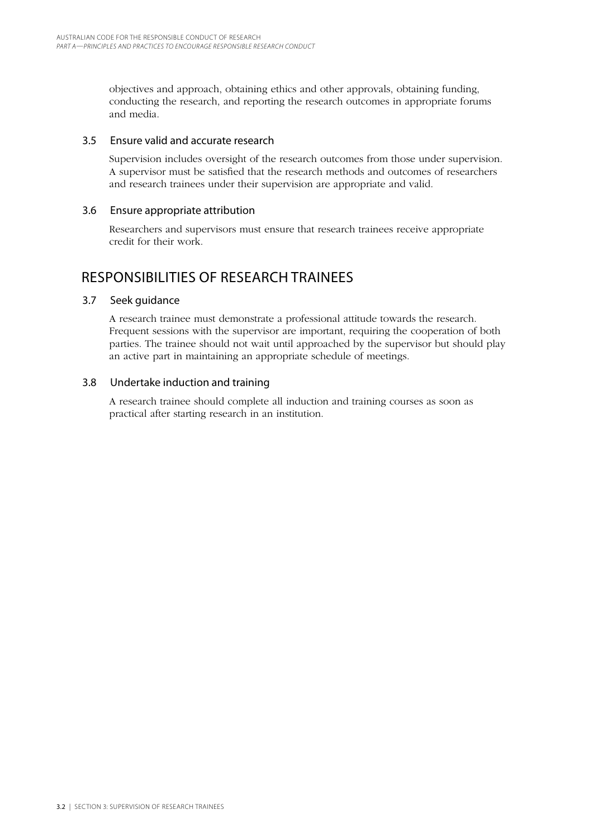objectives and approach, obtaining ethics and other approvals, obtaining funding, conducting the research, and reporting the research outcomes in appropriate forums and media.

#### 3.5 Ensure valid and accurate research

Supervision includes oversight of the research outcomes from those under supervision. A supervisor must be satisfied that the research methods and outcomes of researchers and research trainees under their supervision are appropriate and valid.

#### 3.6 Ensure appropriate attribution

Researchers and supervisors must ensure that research trainees receive appropriate credit for their work.

### Responsibilities of research trainees

### 3.7 Seek guidance

A research trainee must demonstrate a professional attitude towards the research. Frequent sessions with the supervisor are important, requiring the cooperation of both parties. The trainee should not wait until approached by the supervisor but should play an active part in maintaining an appropriate schedule of meetings.

### 3.8 Undertake induction and training

A research trainee should complete all induction and training courses as soon as practical after starting research in an institution.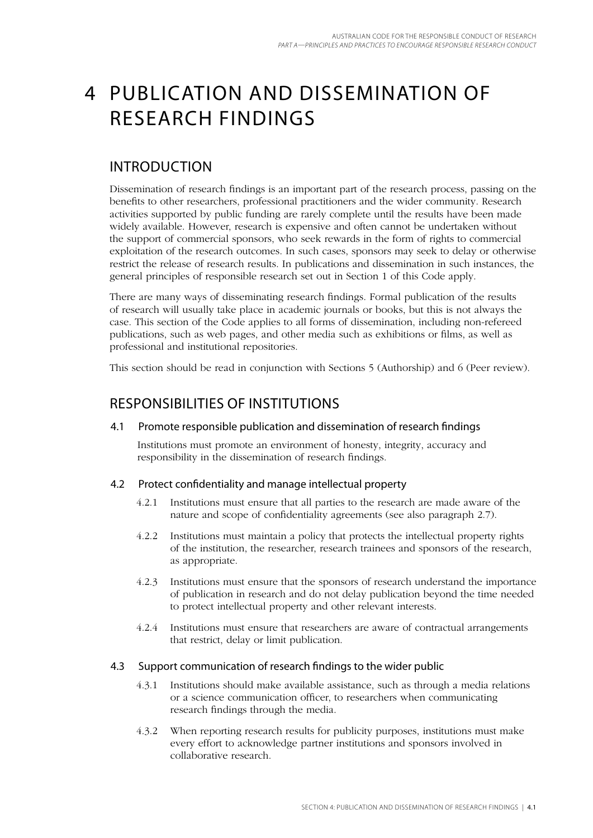## 4 Publication and dissemination of research findings

## Introduction

Dissemination of research findings is an important part of the research process, passing on the benefits to other researchers, professional practitioners and the wider community. Research activities supported by public funding are rarely complete until the results have been made widely available. However, research is expensive and often cannot be undertaken without the support of commercial sponsors, who seek rewards in the form of rights to commercial exploitation of the research outcomes. In such cases, sponsors may seek to delay or otherwise restrict the release of research results. In publications and dissemination in such instances, the general principles of responsible research set out in Section 1 of this Code apply.

There are many ways of disseminating research findings. Formal publication of the results of research will usually take place in academic journals or books, but this is not always the case. This section of the Code applies to all forms of dissemination, including non-refereed publications, such as web pages, and other media such as exhibitions or films, as well as professional and institutional repositories.

This section should be read in conjunction with Sections 5 (Authorship) and 6 (Peer review).

## Responsibilities of institutions

### 4.1 Promote responsible publication and dissemination of research findings

Institutions must promote an environment of honesty, integrity, accuracy and responsibility in the dissemination of research findings.

### 4.2 Protect confidentiality and manage intellectual property

- 4.2.1 Institutions must ensure that all parties to the research are made aware of the nature and scope of confidentiality agreements (see also paragraph 2.7).
- 4.2.2 Institutions must maintain a policy that protects the intellectual property rights of the institution, the researcher, research trainees and sponsors of the research, as appropriate.
- 4.2.3 Institutions must ensure that the sponsors of research understand the importance of publication in research and do not delay publication beyond the time needed to protect intellectual property and other relevant interests.
- 4.2.4 Institutions must ensure that researchers are aware of contractual arrangements that restrict, delay or limit publication.

#### 4.3 Support communication of research findings to the wider public

- 4.3.1 Institutions should make available assistance, such as through a media relations or a science communication officer, to researchers when communicating research findings through the media.
- 4.3.2 When reporting research results for publicity purposes, institutions must make every effort to acknowledge partner institutions and sponsors involved in collaborative research.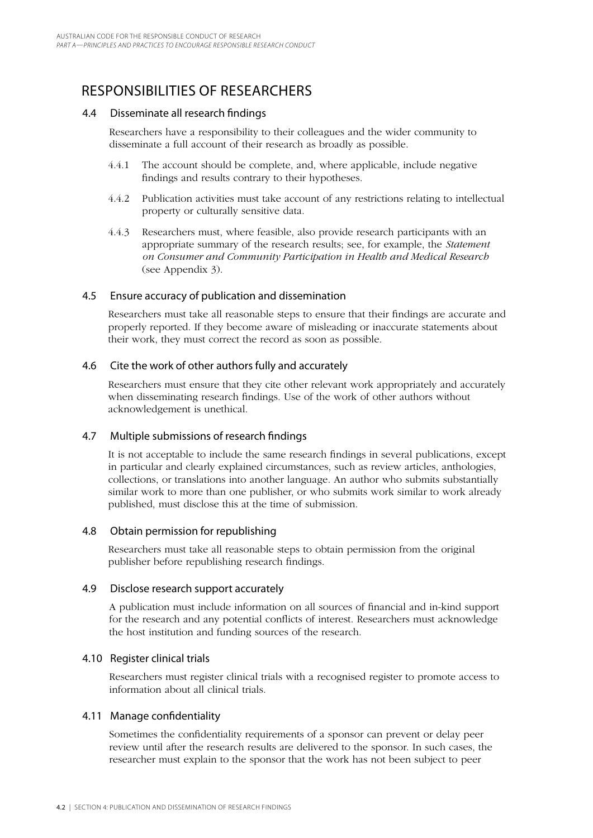## Responsibilities of researchers

#### 4.4 Disseminate all research findings

Researchers have a responsibility to their colleagues and the wider community to disseminate a full account of their research as broadly as possible.

- 4.4.1 The account should be complete, and, where applicable, include negative findings and results contrary to their hypotheses.
- 4.4.2 Publication activities must take account of any restrictions relating to intellectual property or culturally sensitive data.
- 4.4.3 Researchers must, where feasible, also provide research participants with an appropriate summary of the research results; see, for example, the *Statement on Consumer and Community Participation in Health and Medical Research*  (see Appendix 3).

#### 4.5 Ensure accuracy of publication and dissemination

Researchers must take all reasonable steps to ensure that their findings are accurate and properly reported. If they become aware of misleading or inaccurate statements about their work, they must correct the record as soon as possible.

#### 4.6 Cite the work of other authors fully and accurately

Researchers must ensure that they cite other relevant work appropriately and accurately when disseminating research findings. Use of the work of other authors without acknowledgement is unethical.

### 4.7 Multiple submissions of research findings

It is not acceptable to include the same research findings in several publications, except in particular and clearly explained circumstances, such as review articles, anthologies, collections, or translations into another language. An author who submits substantially similar work to more than one publisher, or who submits work similar to work already published, must disclose this at the time of submission.

### 4.8 Obtain permission for republishing

Researchers must take all reasonable steps to obtain permission from the original publisher before republishing research findings.

#### 4.9 Disclose research support accurately

A publication must include information on all sources of financial and in-kind support for the research and any potential conflicts of interest. Researchers must acknowledge the host institution and funding sources of the research.

#### 4.10 Register clinical trials

Researchers must register clinical trials with a recognised register to promote access to information about all clinical trials.

### 4.11 Manage confidentiality

Sometimes the confidentiality requirements of a sponsor can prevent or delay peer review until after the research results are delivered to the sponsor. In such cases, the researcher must explain to the sponsor that the work has not been subject to peer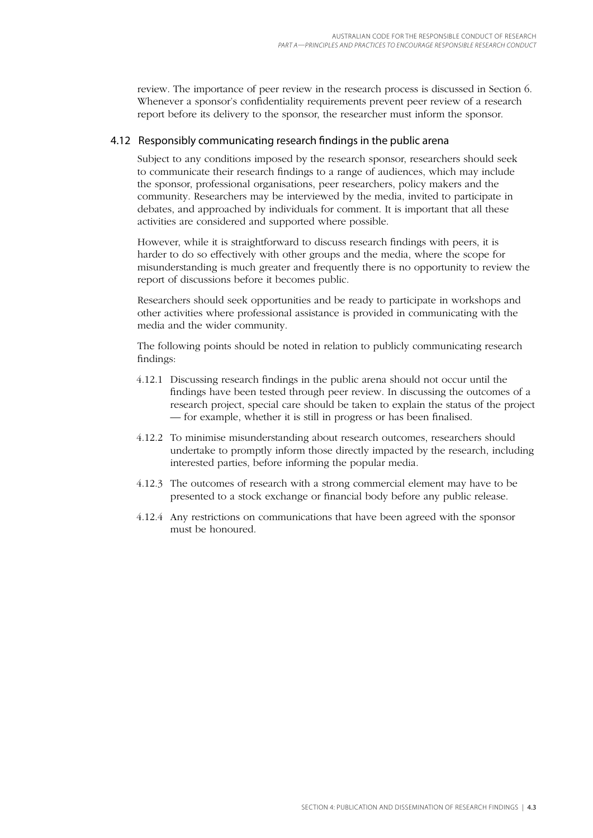review. The importance of peer review in the research process is discussed in Section 6. Whenever a sponsor's confidentiality requirements prevent peer review of a research report before its delivery to the sponsor, the researcher must inform the sponsor.

#### 4.12 Responsibly communicating research findings in the public arena

Subject to any conditions imposed by the research sponsor, researchers should seek to communicate their research findings to a range of audiences, which may include the sponsor, professional organisations, peer researchers, policy makers and the community. Researchers may be interviewed by the media, invited to participate in debates, and approached by individuals for comment. It is important that all these activities are considered and supported where possible.

However, while it is straightforward to discuss research findings with peers, it is harder to do so effectively with other groups and the media, where the scope for misunderstanding is much greater and frequently there is no opportunity to review the report of discussions before it becomes public.

Researchers should seek opportunities and be ready to participate in workshops and other activities where professional assistance is provided in communicating with the media and the wider community.

The following points should be noted in relation to publicly communicating research findings:

- 4.12.1 Discussing research findings in the public arena should not occur until the findings have been tested through peer review. In discussing the outcomes of a research project, special care should be taken to explain the status of the project — for example, whether it is still in progress or has been finalised.
- 4.12.2 To minimise misunderstanding about research outcomes, researchers should undertake to promptly inform those directly impacted by the research, including interested parties, before informing the popular media.
- 4.12.3 The outcomes of research with a strong commercial element may have to be presented to a stock exchange or financial body before any public release.
- 4.12.4 Any restrictions on communications that have been agreed with the sponsor must be honoured.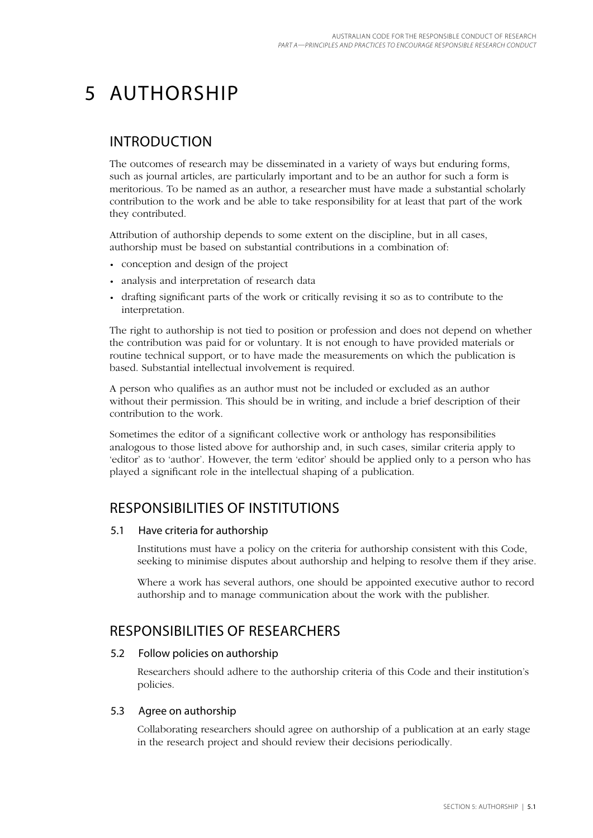# 5 Authorship

### Introduction

The outcomes of research may be disseminated in a variety of ways but enduring forms, such as journal articles, are particularly important and to be an author for such a form is meritorious. To be named as an author, a researcher must have made a substantial scholarly contribution to the work and be able to take responsibility for at least that part of the work they contributed.

Attribution of authorship depends to some extent on the discipline, but in all cases, authorship must be based on substantial contributions in a combination of:

- conception and design of the project
- analysis and interpretation of research data •
- drafting significant parts of the work or critically revising it so as to contribute to the •interpretation.

The right to authorship is not tied to position or profession and does not depend on whether the contribution was paid for or voluntary. It is not enough to have provided materials or routine technical support, or to have made the measurements on which the publication is based. Substantial intellectual involvement is required.

A person who qualifies as an author must not be included or excluded as an author without their permission. This should be in writing, and include a brief description of their contribution to the work.

Sometimes the editor of a significant collective work or anthology has responsibilities analogous to those listed above for authorship and, in such cases, similar criteria apply to 'editor' as to 'author'. However, the term 'editor' should be applied only to a person who has played a significant role in the intellectual shaping of a publication.

## Responsibilities of institutions

#### 5.1 Have criteria for authorship

Institutions must have a policy on the criteria for authorship consistent with this Code, seeking to minimise disputes about authorship and helping to resolve them if they arise.

Where a work has several authors, one should be appointed executive author to record authorship and to manage communication about the work with the publisher.

## Responsibilities of researchers

#### 5.2 Follow policies on authorship

Researchers should adhere to the authorship criteria of this Code and their institution's policies.

### 5.3 Agree on authorship

Collaborating researchers should agree on authorship of a publication at an early stage in the research project and should review their decisions periodically.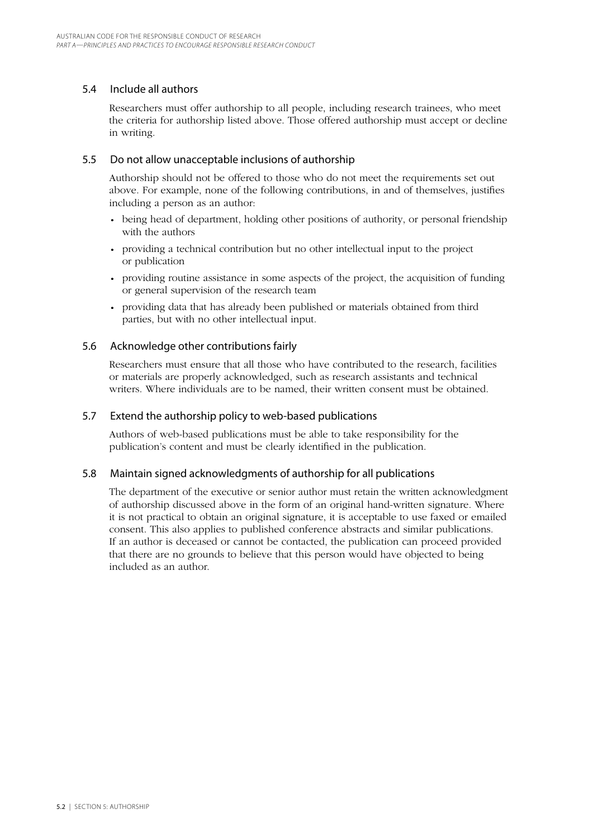#### 5.4 Include all authors

Researchers must offer authorship to all people, including research trainees, who meet the criteria for authorship listed above. Those offered authorship must accept or decline in writing.

#### 5.5 Do not allow unacceptable inclusions of authorship

Authorship should not be offered to those who do not meet the requirements set out above. For example, none of the following contributions, in and of themselves, justifies including a person as an author:

- being head of department, holding other positions of authority, or personal friendship with the authors
- providing a technical contribution but no other intellectual input to the project or publication
- providing routine assistance in some aspects of the project, the acquisition of funding or general supervision of the research team
- providing data that has already been published or materials obtained from third parties, but with no other intellectual input.

#### 5.6 Acknowledge other contributions fairly

Researchers must ensure that all those who have contributed to the research, facilities or materials are properly acknowledged, such as research assistants and technical writers. Where individuals are to be named, their written consent must be obtained.

#### 5.7 Extend the authorship policy to web-based publications

Authors of web-based publications must be able to take responsibility for the publication's content and must be clearly identified in the publication.

#### 5.8 Maintain signed acknowledgments of authorship for all publications

The department of the executive or senior author must retain the written acknowledgment of authorship discussed above in the form of an original hand-written signature. Where it is not practical to obtain an original signature, it is acceptable to use faxed or emailed consent. This also applies to published conference abstracts and similar publications. If an author is deceased or cannot be contacted, the publication can proceed provided that there are no grounds to believe that this person would have objected to being included as an author.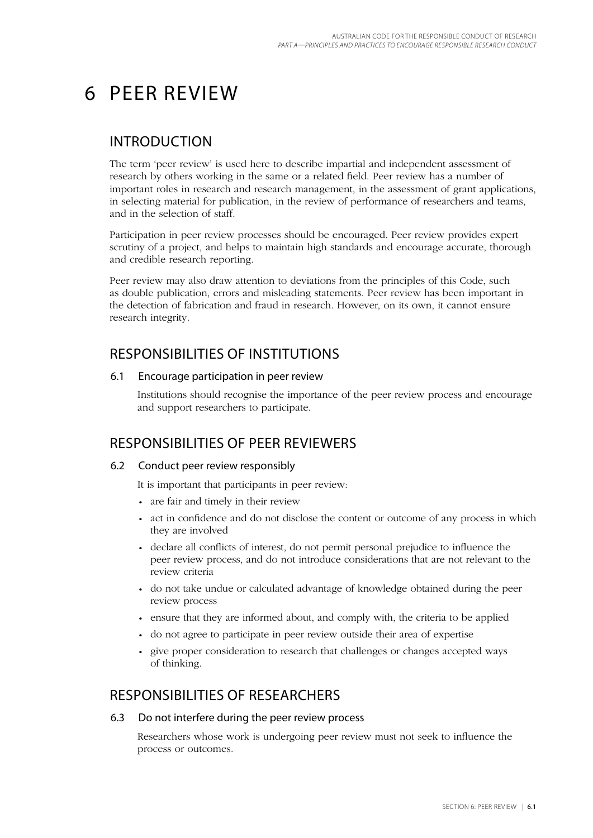## 6 Peer review

### Introduction

The term 'peer review' is used here to describe impartial and independent assessment of research by others working in the same or a related field. Peer review has a number of important roles in research and research management, in the assessment of grant applications, in selecting material for publication, in the review of performance of researchers and teams, and in the selection of staff.

Participation in peer review processes should be encouraged. Peer review provides expert scrutiny of a project, and helps to maintain high standards and encourage accurate, thorough and credible research reporting.

Peer review may also draw attention to deviations from the principles of this Code, such as double publication, errors and misleading statements. Peer review has been important in the detection of fabrication and fraud in research. However, on its own, it cannot ensure research integrity.

## Responsibilities of institutions

#### 6.1 Encourage participation in peer review

Institutions should recognise the importance of the peer review process and encourage and support researchers to participate.

### Responsibilities of peer reviewers

### 6.2 Conduct peer review responsibly

It is important that participants in peer review:

- are fair and timely in their review
- act in confidence and do not disclose the content or outcome of any process in which they are involved
- declare all conflicts of interest, do not permit personal prejudice to influence the peer review process, and do not introduce considerations that are not relevant to the review criteria
- do not take undue or calculated advantage of knowledge obtained during the peer review process
- ensure that they are informed about, and comply with, the criteria to be applied
- do not agree to participate in peer review outside their area of expertise
- give proper consideration to research that challenges or changes accepted ways of thinking.

### Responsibilities of researchers

#### 6.3 Do not interfere during the peer review process

Researchers whose work is undergoing peer review must not seek to influence the process or outcomes.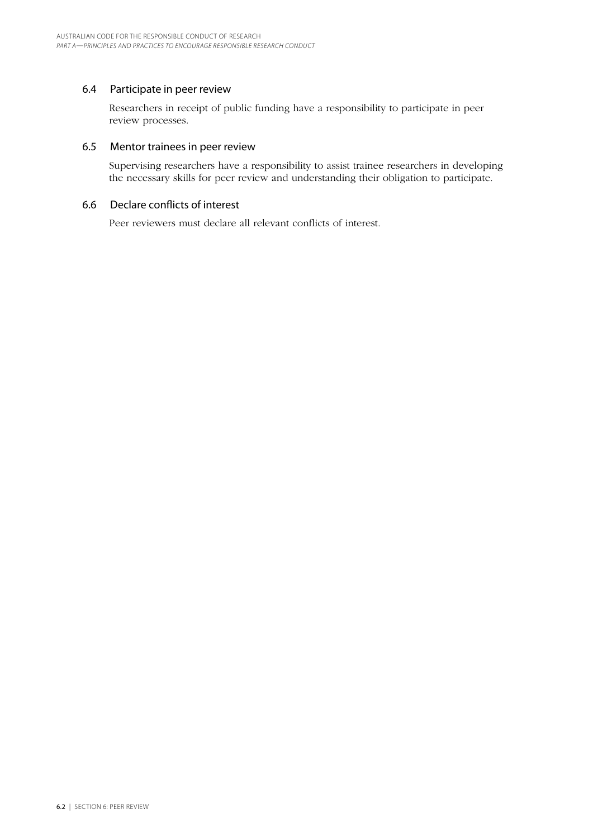#### 6.4 Participate in peer review

Researchers in receipt of public funding have a responsibility to participate in peer review processes.

#### 6.5 Mentor trainees in peer review

Supervising researchers have a responsibility to assist trainee researchers in developing the necessary skills for peer review and understanding their obligation to participate.

#### 6.6 Declare conflicts of interest

Peer reviewers must declare all relevant conflicts of interest.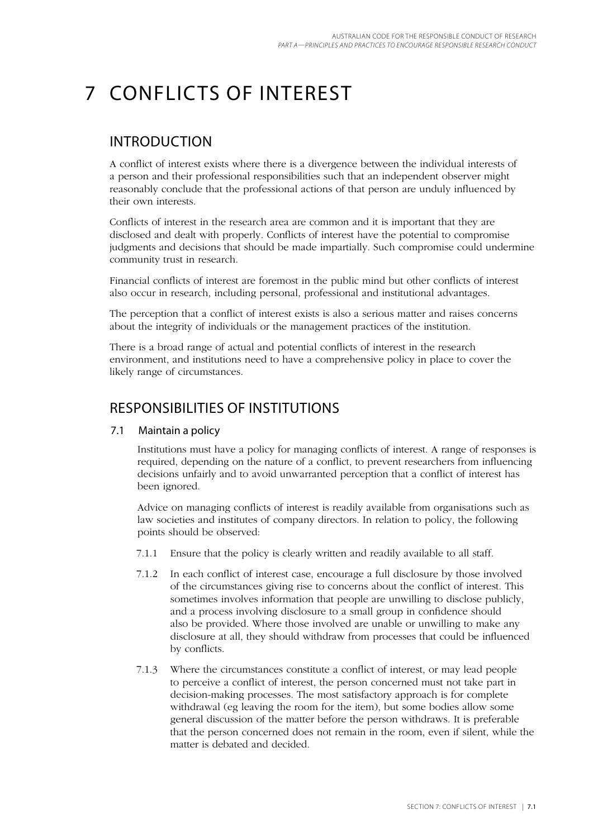# 7 Conflicts of interest

### Introduction

A conflict of interest exists where there is a divergence between the individual interests of a person and their professional responsibilities such that an independent observer might reasonably conclude that the professional actions of that person are unduly influenced by their own interests.

Conflicts of interest in the research area are common and it is important that they are disclosed and dealt with properly. Conflicts of interest have the potential to compromise judgments and decisions that should be made impartially. Such compromise could undermine community trust in research.

Financial conflicts of interest are foremost in the public mind but other conflicts of interest also occur in research, including personal, professional and institutional advantages.

The perception that a conflict of interest exists is also a serious matter and raises concerns about the integrity of individuals or the management practices of the institution.

There is a broad range of actual and potential conflicts of interest in the research environment, and institutions need to have a comprehensive policy in place to cover the likely range of circumstances.

### Responsibilities of institutions

#### 7.1 Maintain a policy

Institutions must have a policy for managing conflicts of interest. A range of responses is required, depending on the nature of a conflict, to prevent researchers from influencing decisions unfairly and to avoid unwarranted perception that a conflict of interest has been ignored.

Advice on managing conflicts of interest is readily available from organisations such as law societies and institutes of company directors. In relation to policy, the following points should be observed:

- 7.1.1 Ensure that the policy is clearly written and readily available to all staff.
- 7.1.2 In each conflict of interest case, encourage a full disclosure by those involved of the circumstances giving rise to concerns about the conflict of interest. This sometimes involves information that people are unwilling to disclose publicly, and a process involving disclosure to a small group in confidence should also be provided. Where those involved are unable or unwilling to make any disclosure at all, they should withdraw from processes that could be influenced by conflicts.
- 7.1.3 Where the circumstances constitute a conflict of interest, or may lead people to perceive a conflict of interest, the person concerned must not take part in decision-making processes. The most satisfactory approach is for complete withdrawal (eg leaving the room for the item), but some bodies allow some general discussion of the matter before the person withdraws. It is preferable that the person concerned does not remain in the room, even if silent, while the matter is debated and decided.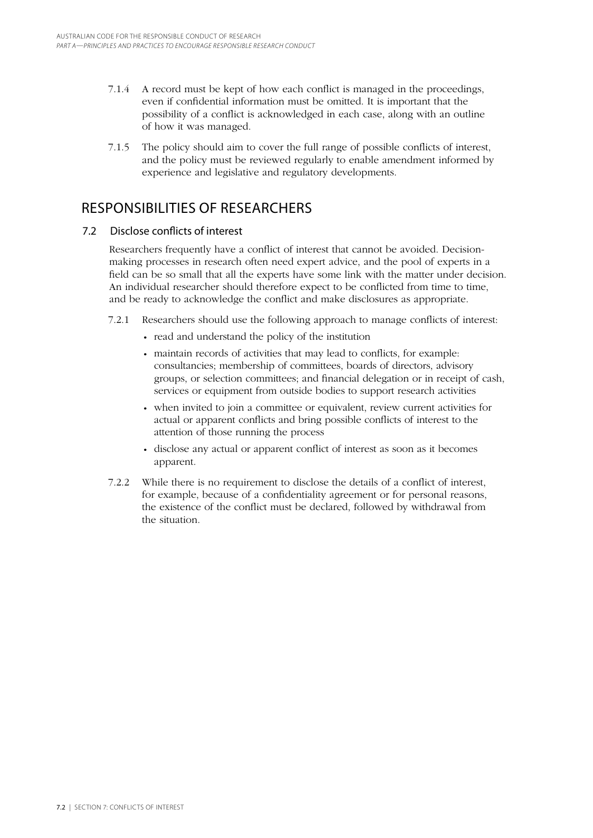- 7.1.4 A record must be kept of how each conflict is managed in the proceedings, even if confidential information must be omitted. It is important that the possibility of a conflict is acknowledged in each case, along with an outline of how it was managed.
- 7.1.5 The policy should aim to cover the full range of possible conflicts of interest, and the policy must be reviewed regularly to enable amendment informed by experience and legislative and regulatory developments.

## Responsibilities of researchers

### 7.2 Disclose conflicts of interest

Researchers frequently have a conflict of interest that cannot be avoided. Decisionmaking processes in research often need expert advice, and the pool of experts in a field can be so small that all the experts have some link with the matter under decision. An individual researcher should therefore expect to be conflicted from time to time, and be ready to acknowledge the conflict and make disclosures as appropriate.

- 7.2.1 Researchers should use the following approach to manage conflicts of interest:
	- read and understand the policy of the institution
	- maintain records of activities that may lead to conflicts, for example: consultancies; membership of committees, boards of directors, advisory groups, or selection committees; and financial delegation or in receipt of cash, services or equipment from outside bodies to support research activities
	- when invited to join a committee or equivalent, review current activities for actual or apparent conflicts and bring possible conflicts of interest to the attention of those running the process
	- disclose any actual or apparent conflict of interest as soon as it becomes apparent.
- 7.2.2 While there is no requirement to disclose the details of a conflict of interest, for example, because of a confidentiality agreement or for personal reasons, the existence of the conflict must be declared, followed by withdrawal from the situation.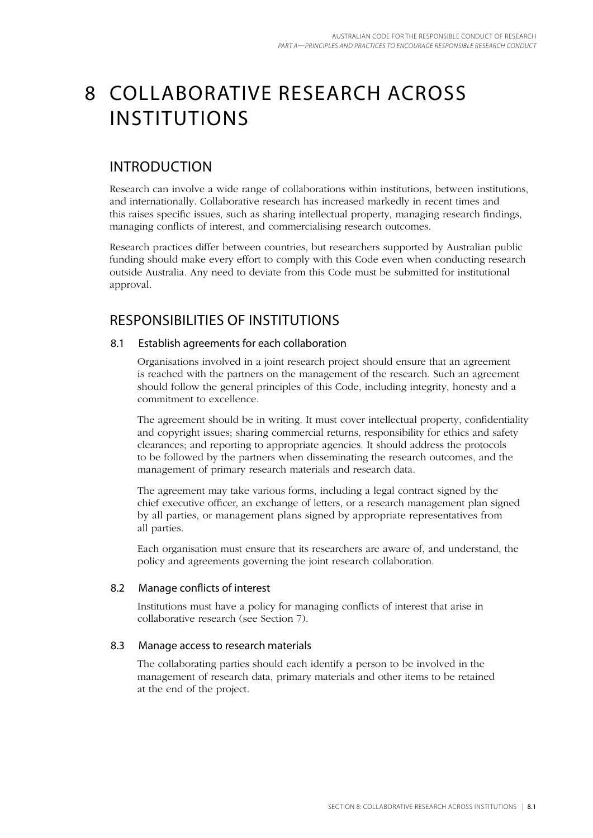## 8 Collaborative research across **INSTITUTIONS**

## Introduction

Research can involve a wide range of collaborations within institutions, between institutions, and internationally. Collaborative research has increased markedly in recent times and this raises specific issues, such as sharing intellectual property, managing research findings, managing conflicts of interest, and commercialising research outcomes.

Research practices differ between countries, but researchers supported by Australian public funding should make every effort to comply with this Code even when conducting research outside Australia. Any need to deviate from this Code must be submitted for institutional approval.

## Responsibilities of institutions

### 8.1 Establish agreements for each collaboration

Organisations involved in a joint research project should ensure that an agreement is reached with the partners on the management of the research. Such an agreement should follow the general principles of this Code, including integrity, honesty and a commitment to excellence.

The agreement should be in writing. It must cover intellectual property, confidentiality and copyright issues; sharing commercial returns, responsibility for ethics and safety clearances; and reporting to appropriate agencies. It should address the protocols to be followed by the partners when disseminating the research outcomes, and the management of primary research materials and research data.

The agreement may take various forms, including a legal contract signed by the chief executive officer, an exchange of letters, or a research management plan signed by all parties, or management plans signed by appropriate representatives from all parties.

Each organisation must ensure that its researchers are aware of, and understand, the policy and agreements governing the joint research collaboration.

### 8.2 Manage conflicts of interest

Institutions must have a policy for managing conflicts of interest that arise in collaborative research (see Section 7).

### 8.3 Manage access to research materials

The collaborating parties should each identify a person to be involved in the management of research data, primary materials and other items to be retained at the end of the project.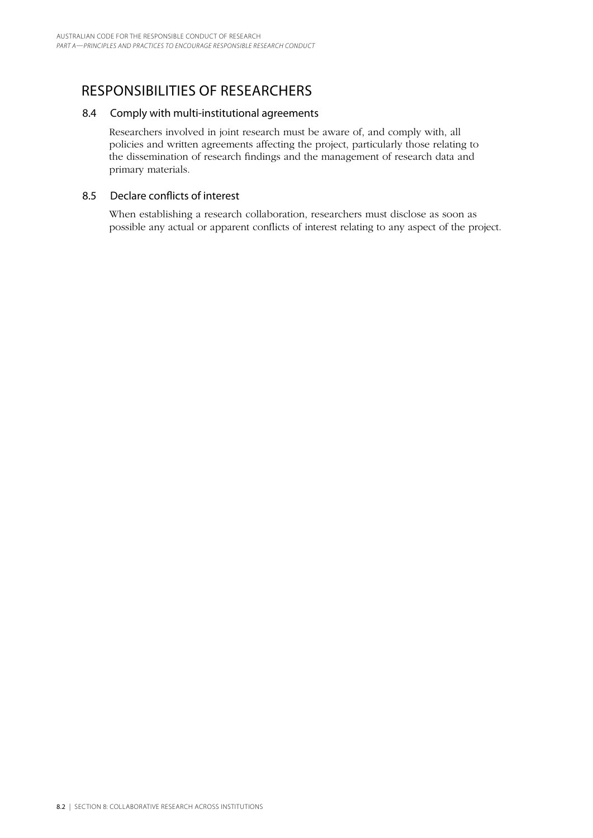## Responsibilities of researchers

#### 8.4 Comply with multi-institutional agreements

Researchers involved in joint research must be aware of, and comply with, all policies and written agreements affecting the project, particularly those relating to the dissemination of research findings and the management of research data and primary materials.

#### 8.5 Declare conflicts of interest

When establishing a research collaboration, researchers must disclose as soon as possible any actual or apparent conflicts of interest relating to any aspect of the project.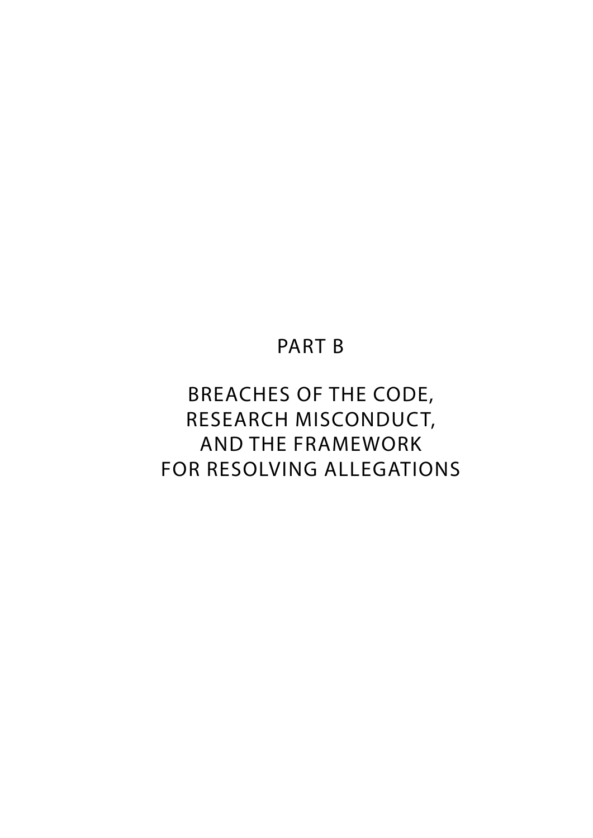## PART B

# Breaches of the Code, research misconduct, and the framework for resolving allegations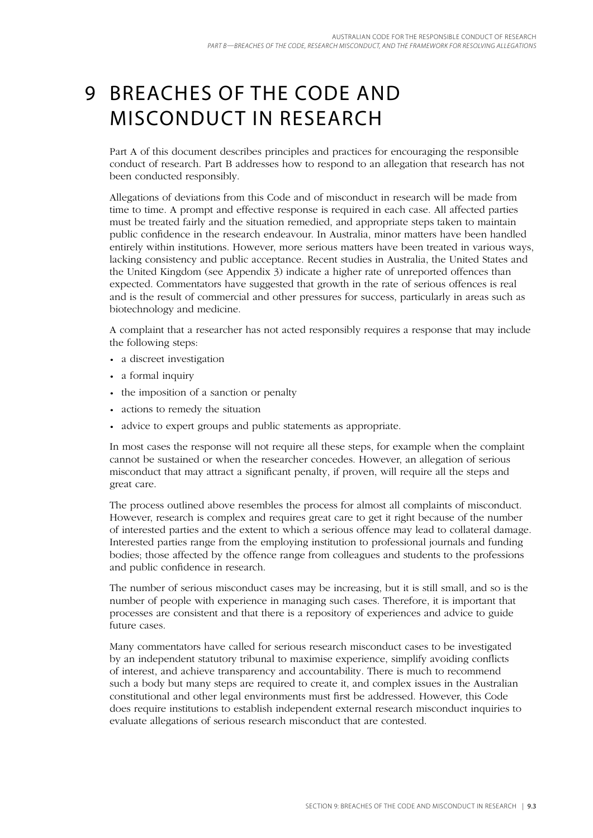# 9 Breaches of the Code and misconduct in research

Part A of this document describes principles and practices for encouraging the responsible conduct of research. Part B addresses how to respond to an allegation that research has not been conducted responsibly.

Allegations of deviations from this Code and of misconduct in research will be made from time to time. A prompt and effective response is required in each case. All affected parties must be treated fairly and the situation remedied, and appropriate steps taken to maintain public confidence in the research endeavour. In Australia, minor matters have been handled entirely within institutions. However, more serious matters have been treated in various ways, lacking consistency and public acceptance. Recent studies in Australia, the United States and the United Kingdom (see Appendix 3) indicate a higher rate of unreported offences than expected. Commentators have suggested that growth in the rate of serious offences is real and is the result of commercial and other pressures for success, particularly in areas such as biotechnology and medicine.

A complaint that a researcher has not acted responsibly requires a response that may include the following steps:

- a discreet investigation
- a formal inquiry
- the imposition of a sanction or penalty
- actions to remedy the situation
- advice to expert groups and public statements as appropriate.

In most cases the response will not require all these steps, for example when the complaint cannot be sustained or when the researcher concedes. However, an allegation of serious misconduct that may attract a significant penalty, if proven, will require all the steps and great care.

The process outlined above resembles the process for almost all complaints of misconduct. However, research is complex and requires great care to get it right because of the number of interested parties and the extent to which a serious offence may lead to collateral damage. Interested parties range from the employing institution to professional journals and funding bodies; those affected by the offence range from colleagues and students to the professions and public confidence in research.

The number of serious misconduct cases may be increasing, but it is still small, and so is the number of people with experience in managing such cases. Therefore, it is important that processes are consistent and that there is a repository of experiences and advice to guide future cases.

Many commentators have called for serious research misconduct cases to be investigated by an independent statutory tribunal to maximise experience, simplify avoiding conflicts of interest, and achieve transparency and accountability. There is much to recommend such a body but many steps are required to create it, and complex issues in the Australian constitutional and other legal environments must first be addressed. However, this Code does require institutions to establish independent external research misconduct inquiries to evaluate allegations of serious research misconduct that are contested.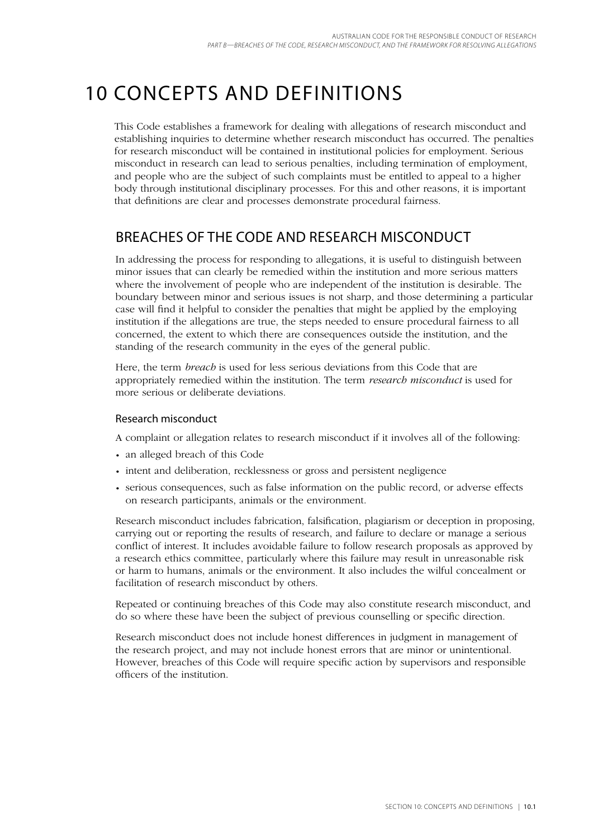# 10 Concepts and definitions

This Code establishes a framework for dealing with allegations of research misconduct and establishing inquiries to determine whether research misconduct has occurred. The penalties for research misconduct will be contained in institutional policies for employment. Serious misconduct in research can lead to serious penalties, including termination of employment, and people who are the subject of such complaints must be entitled to appeal to a higher body through institutional disciplinary processes. For this and other reasons, it is important that definitions are clear and processes demonstrate procedural fairness.

## Breaches of the Code and research misconduct

In addressing the process for responding to allegations, it is useful to distinguish between minor issues that can clearly be remedied within the institution and more serious matters where the involvement of people who are independent of the institution is desirable. The boundary between minor and serious issues is not sharp, and those determining a particular case will find it helpful to consider the penalties that might be applied by the employing institution if the allegations are true, the steps needed to ensure procedural fairness to all concerned, the extent to which there are consequences outside the institution, and the standing of the research community in the eyes of the general public.

Here, the term *breach* is used for less serious deviations from this Code that are appropriately remedied within the institution. The term *research misconduct* is used for more serious or deliberate deviations.

#### Research misconduct

A complaint or allegation relates to research misconduct if it involves all of the following:

- an alleged breach of this Code
- intent and deliberation, recklessness or gross and persistent negligence
- serious consequences, such as false information on the public record, or adverse effects on research participants, animals or the environment.

Research misconduct includes fabrication, falsification, plagiarism or deception in proposing, carrying out or reporting the results of research, and failure to declare or manage a serious conflict of interest. It includes avoidable failure to follow research proposals as approved by a research ethics committee, particularly where this failure may result in unreasonable risk or harm to humans, animals or the environment. It also includes the wilful concealment or facilitation of research misconduct by others.

Repeated or continuing breaches of this Code may also constitute research misconduct, and do so where these have been the subject of previous counselling or specific direction.

Research misconduct does not include honest differences in judgment in management of the research project, and may not include honest errors that are minor or unintentional. However, breaches of this Code will require specific action by supervisors and responsible officers of the institution.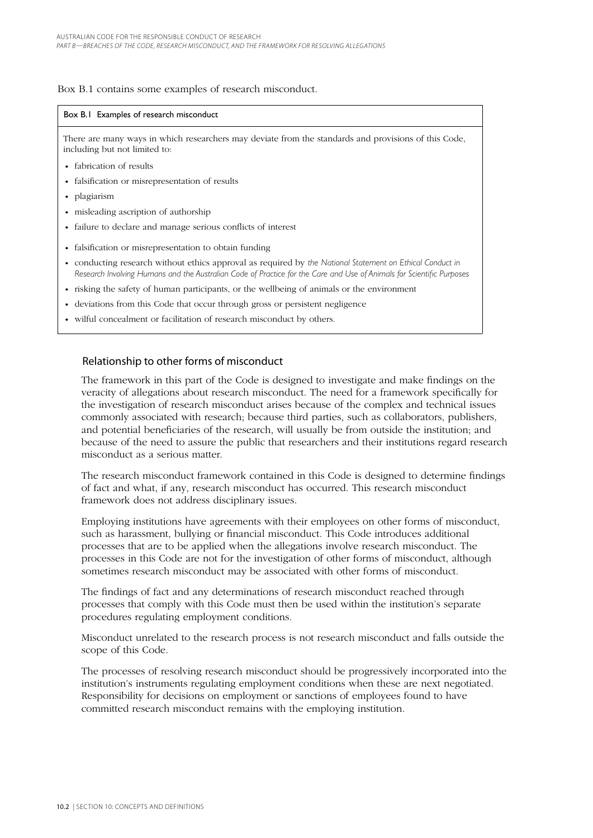#### Box B.1 contains some examples of research misconduct.

#### Box B.1 Examples of research misconduct

There are many ways in which researchers may deviate from the standards and provisions of this Code, including but not limited to:

- fabrication of results
- falsification or misrepresentation of results
- plagiarism
- misleading ascription of authorship
- failure to declare and manage serious conflicts of interest
- falsification or misrepresentation to obtain funding
- conducting research without ethics approval as required by *the National Statement on Ethical Conduct in Research Involving Humans and the Australian Code of Practice for the Care and Use of Animals for Scientific Purposes*
- risking the safety of human participants, or the wellbeing of animals or the environment
- deviations from this Code that occur through gross or persistent negligence
- wilful concealment or facilitation of research misconduct by others.

#### Relationship to other forms of misconduct

The framework in this part of the Code is designed to investigate and make findings on the veracity of allegations about research misconduct. The need for a framework specifically for the investigation of research misconduct arises because of the complex and technical issues commonly associated with research; because third parties, such as collaborators, publishers, and potential beneficiaries of the research, will usually be from outside the institution; and because of the need to assure the public that researchers and their institutions regard research misconduct as a serious matter.

The research misconduct framework contained in this Code is designed to determine findings of fact and what, if any, research misconduct has occurred. This research misconduct framework does not address disciplinary issues.

Employing institutions have agreements with their employees on other forms of misconduct, such as harassment, bullying or financial misconduct. This Code introduces additional processes that are to be applied when the allegations involve research misconduct. The processes in this Code are not for the investigation of other forms of misconduct, although sometimes research misconduct may be associated with other forms of misconduct.

The findings of fact and any determinations of research misconduct reached through processes that comply with this Code must then be used within the institution's separate procedures regulating employment conditions.

Misconduct unrelated to the research process is not research misconduct and falls outside the scope of this Code.

The processes of resolving research misconduct should be progressively incorporated into the institution's instruments regulating employment conditions when these are next negotiated. Responsibility for decisions on employment or sanctions of employees found to have committed research misconduct remains with the employing institution.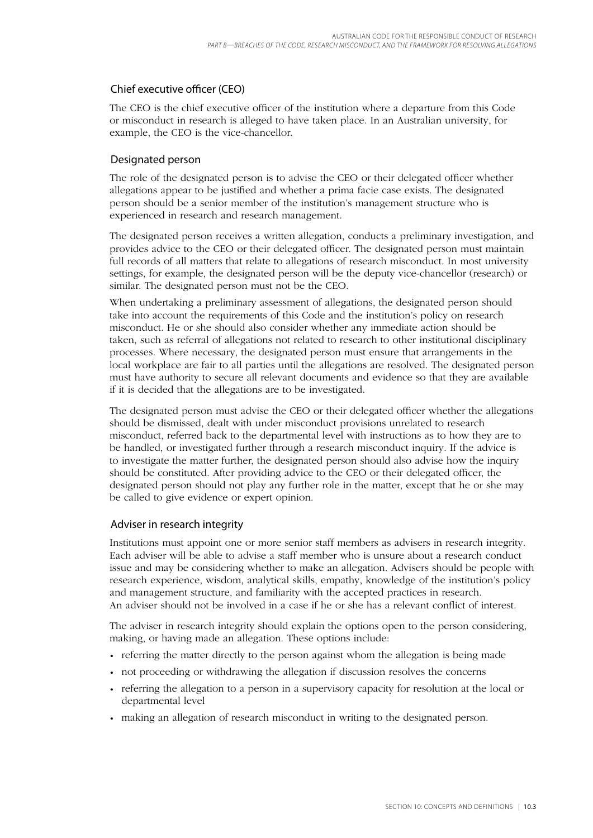### Chief executive officer (CEO)

The CEO is the chief executive officer of the institution where a departure from this Code or misconduct in research is alleged to have taken place. In an Australian university, for example, the CEO is the vice-chancellor.

### Designated person

The role of the designated person is to advise the CEO or their delegated officer whether allegations appear to be justified and whether a prima facie case exists. The designated person should be a senior member of the institution's management structure who is experienced in research and research management.

The designated person receives a written allegation, conducts a preliminary investigation, and provides advice to the CEO or their delegated officer. The designated person must maintain full records of all matters that relate to allegations of research misconduct. In most university settings, for example, the designated person will be the deputy vice-chancellor (research) or similar. The designated person must not be the CEO.

When undertaking a preliminary assessment of allegations, the designated person should take into account the requirements of this Code and the institution's policy on research misconduct. He or she should also consider whether any immediate action should be taken, such as referral of allegations not related to research to other institutional disciplinary processes. Where necessary, the designated person must ensure that arrangements in the local workplace are fair to all parties until the allegations are resolved. The designated person must have authority to secure all relevant documents and evidence so that they are available if it is decided that the allegations are to be investigated.

The designated person must advise the CEO or their delegated officer whether the allegations should be dismissed, dealt with under misconduct provisions unrelated to research misconduct, referred back to the departmental level with instructions as to how they are to be handled, or investigated further through a research misconduct inquiry. If the advice is to investigate the matter further, the designated person should also advise how the inquiry should be constituted. After providing advice to the CEO or their delegated officer, the designated person should not play any further role in the matter, except that he or she may be called to give evidence or expert opinion.

#### Adviser in research integrity

Institutions must appoint one or more senior staff members as advisers in research integrity. Each adviser will be able to advise a staff member who is unsure about a research conduct issue and may be considering whether to make an allegation. Advisers should be people with research experience, wisdom, analytical skills, empathy, knowledge of the institution's policy and management structure, and familiarity with the accepted practices in research. An adviser should not be involved in a case if he or she has a relevant conflict of interest.

The adviser in research integrity should explain the options open to the person considering, making, or having made an allegation. These options include:

- referring the matter directly to the person against whom the allegation is being made
- not proceeding or withdrawing the allegation if discussion resolves the concerns
- referring the allegation to a person in a supervisory capacity for resolution at the local or departmental level
- making an allegation of research misconduct in writing to the designated person. •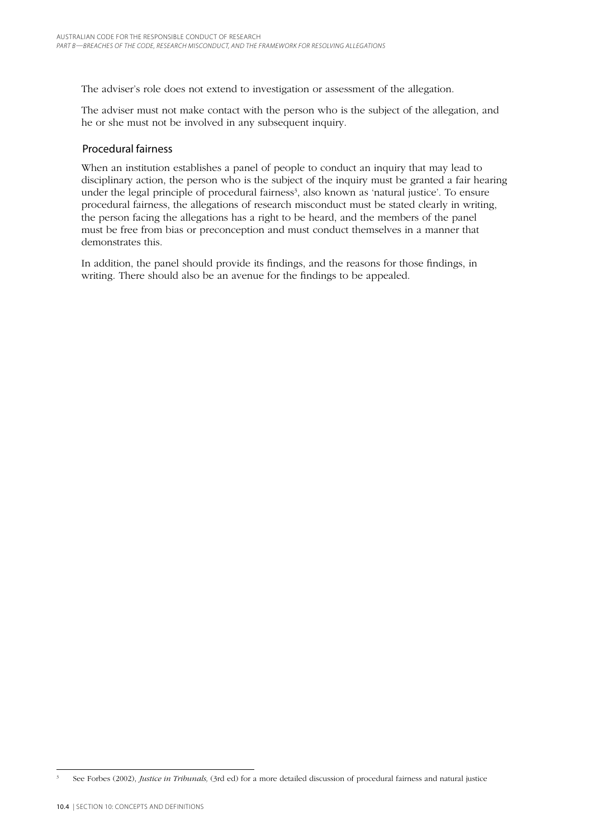The adviser's role does not extend to investigation or assessment of the allegation.

The adviser must not make contact with the person who is the subject of the allegation, and he or she must not be involved in any subsequent inquiry.

#### Procedural fairness

When an institution establishes a panel of people to conduct an inquiry that may lead to disciplinary action, the person who is the subject of the inquiry must be granted a fair hearing under the legal principle of procedural fairness<sup>3</sup>, also known as 'natural justice'. To ensure procedural fairness, the allegations of research misconduct must be stated clearly in writing, the person facing the allegations has a right to be heard, and the members of the panel must be free from bias or preconception and must conduct themselves in a manner that demonstrates this.

In addition, the panel should provide its findings, and the reasons for those findings, in writing. There should also be an avenue for the findings to be appealed.

<sup>3</sup> See Forbes (2002), *Justice in Tribunals,* (3rd ed) for a more detailed discussion of procedural fairness and natural justice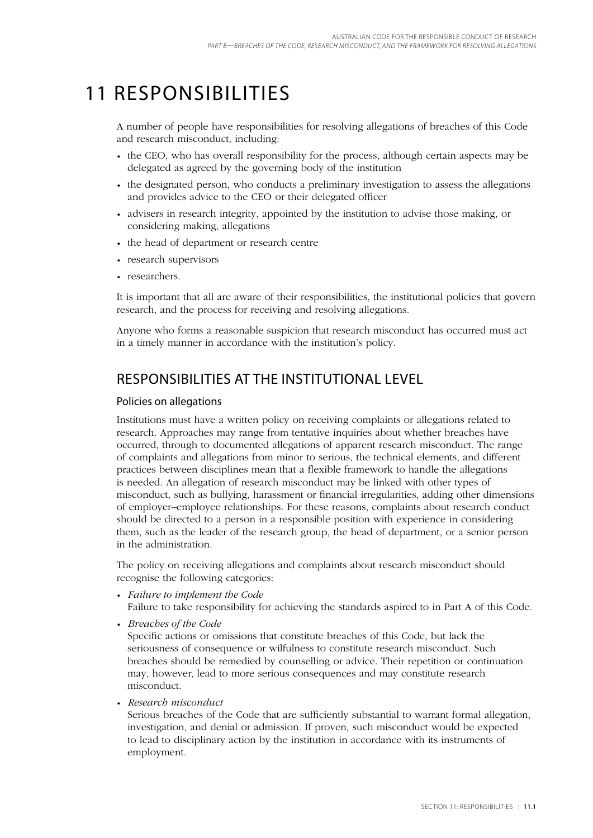## 11 Responsibilities

A number of people have responsibilities for resolving allegations of breaches of this Code and research misconduct, including:

- the CEO, who has overall responsibility for the process, although certain aspects may be delegated as agreed by the governing body of the institution
- the designated person, who conducts a preliminary investigation to assess the allegations and provides advice to the CEO or their delegated officer
- advisers in research integrity, appointed by the institution to advise those making, or considering making, allegations
- the head of department or research centre
- research supervisors
- researchers.

It is important that all are aware of their responsibilities, the institutional policies that govern research, and the process for receiving and resolving allegations.

Anyone who forms a reasonable suspicion that research misconduct has occurred must act in a timely manner in accordance with the institution's policy.

## Responsibilities at the institutional level

#### Policies on allegations

Institutions must have a written policy on receiving complaints or allegations related to research. Approaches may range from tentative inquiries about whether breaches have occurred, through to documented allegations of apparent research misconduct. The range of complaints and allegations from minor to serious, the technical elements, and different practices between disciplines mean that a flexible framework to handle the allegations is needed. An allegation of research misconduct may be linked with other types of misconduct, such as bullying, harassment or financial irregularities, adding other dimensions of employer–employee relationships. For these reasons, complaints about research conduct should be directed to a person in a responsible position with experience in considering them, such as the leader of the research group, the head of department, or a senior person in the administration.

The policy on receiving allegations and complaints about research misconduct should recognise the following categories:

- *Failure to implement the Code* Failure to take responsibility for achieving the standards aspired to in Part A of this Code.
- *Breaches of the Code* •

Specific actions or omissions that constitute breaches of this Code, but lack the seriousness of consequence or wilfulness to constitute research misconduct. Such breaches should be remedied by counselling or advice. Their repetition or continuation may, however, lead to more serious consequences and may constitute research misconduct.

*Research misconduct* •

Serious breaches of the Code that are sufficiently substantial to warrant formal allegation, investigation, and denial or admission. If proven, such misconduct would be expected to lead to disciplinary action by the institution in accordance with its instruments of employment.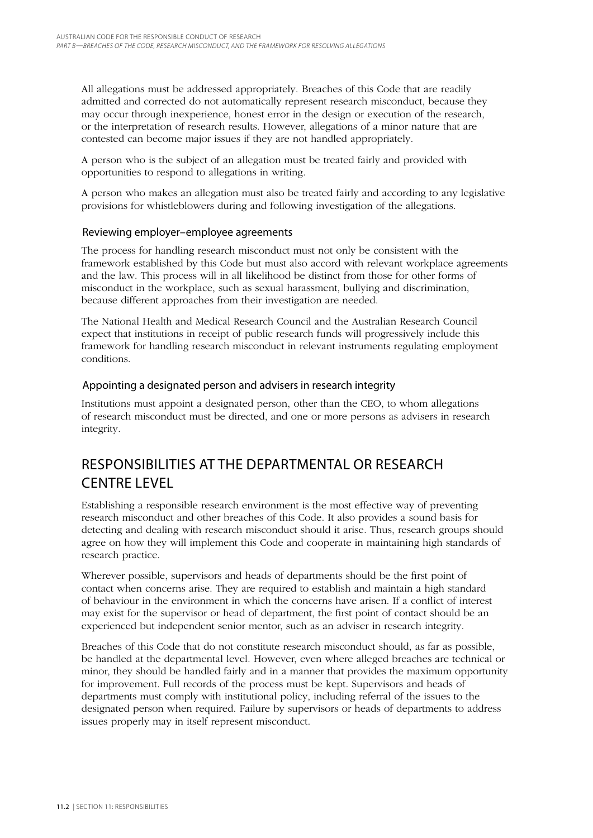All allegations must be addressed appropriately. Breaches of this Code that are readily admitted and corrected do not automatically represent research misconduct, because they may occur through inexperience, honest error in the design or execution of the research, or the interpretation of research results. However, allegations of a minor nature that are contested can become major issues if they are not handled appropriately.

A person who is the subject of an allegation must be treated fairly and provided with opportunities to respond to allegations in writing.

A person who makes an allegation must also be treated fairly and according to any legislative provisions for whistleblowers during and following investigation of the allegations.

#### Reviewing employer–employee agreements

The process for handling research misconduct must not only be consistent with the framework established by this Code but must also accord with relevant workplace agreements and the law. This process will in all likelihood be distinct from those for other forms of misconduct in the workplace, such as sexual harassment, bullying and discrimination, because different approaches from their investigation are needed.

The National Health and Medical Research Council and the Australian Research Council expect that institutions in receipt of public research funds will progressively include this framework for handling research misconduct in relevant instruments regulating employment conditions.

#### Appointing a designated person and advisers in research integrity

Institutions must appoint a designated person, other than the CEO, to whom allegations of research misconduct must be directed, and one or more persons as advisers in research integrity.

## Responsibilities at the departmental or research centre level

Establishing a responsible research environment is the most effective way of preventing research misconduct and other breaches of this Code. It also provides a sound basis for detecting and dealing with research misconduct should it arise. Thus, research groups should agree on how they will implement this Code and cooperate in maintaining high standards of research practice.

Wherever possible, supervisors and heads of departments should be the first point of contact when concerns arise. They are required to establish and maintain a high standard of behaviour in the environment in which the concerns have arisen. If a conflict of interest may exist for the supervisor or head of department, the first point of contact should be an experienced but independent senior mentor, such as an adviser in research integrity.

Breaches of this Code that do not constitute research misconduct should, as far as possible, be handled at the departmental level. However, even where alleged breaches are technical or minor, they should be handled fairly and in a manner that provides the maximum opportunity for improvement. Full records of the process must be kept. Supervisors and heads of departments must comply with institutional policy, including referral of the issues to the designated person when required. Failure by supervisors or heads of departments to address issues properly may in itself represent misconduct.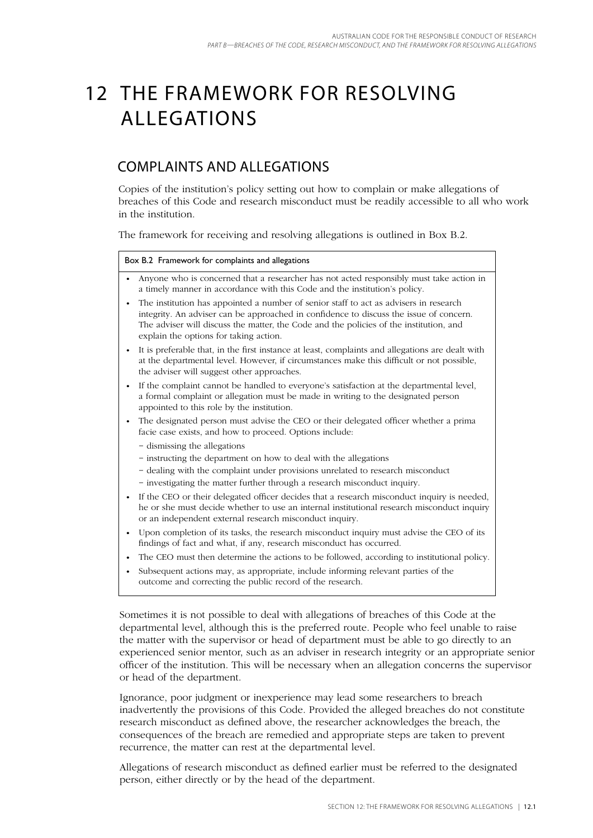# 12 The framework for resolving allegations

## Complaints and allegations

Copies of the institution's policy setting out how to complain or make allegations of breaches of this Code and research misconduct must be readily accessible to all who work in the institution.

The framework for receiving and resolving allegations is outlined in Box B.2.

#### Box B.2 Framework for complaints and allegations

- Anyone who is concerned that a researcher has not acted responsibly must take action in a timely manner in accordance with this Code and the institution's policy. •
- The institution has appointed a number of senior staff to act as advisers in research integrity. An adviser can be approached in confidence to discuss the issue of concern. The adviser will discuss the matter, the Code and the policies of the institution, and explain the options for taking action.
- It is preferable that, in the first instance at least, complaints and allegations are dealt with at the departmental level. However, if circumstances make this difficult or not possible, the adviser will suggest other approaches.
- If the complaint cannot be handled to everyone's satisfaction at the departmental level, a formal complaint or allegation must be made in writing to the designated person appointed to this role by the institution.
- The designated person must advise the CEO or their delegated officer whether a prima facie case exists, and how to proceed. Options include:
	- − dismissing the allegations
	- − instructing the department on how to deal with the allegations
	- − dealing with the complaint under provisions unrelated to research misconduct
	- − investigating the matter further through a research misconduct inquiry.
- If the CEO or their delegated officer decides that a research misconduct inquiry is needed, he or she must decide whether to use an internal institutional research misconduct inquiry or an independent external research misconduct inquiry.
- Upon completion of its tasks, the research misconduct inquiry must advise the CEO of its findings of fact and what, if any, research misconduct has occurred.
- The CEO must then determine the actions to be followed, according to institutional policy.
- Subsequent actions may, as appropriate, include informing relevant parties of the outcome and correcting the public record of the research. •

Sometimes it is not possible to deal with allegations of breaches of this Code at the departmental level, although this is the preferred route. People who feel unable to raise the matter with the supervisor or head of department must be able to go directly to an experienced senior mentor, such as an adviser in research integrity or an appropriate senior officer of the institution. This will be necessary when an allegation concerns the supervisor or head of the department.

Ignorance, poor judgment or inexperience may lead some researchers to breach inadvertently the provisions of this Code. Provided the alleged breaches do not constitute research misconduct as defined above, the researcher acknowledges the breach, the consequences of the breach are remedied and appropriate steps are taken to prevent recurrence, the matter can rest at the departmental level.

Allegations of research misconduct as defined earlier must be referred to the designated person, either directly or by the head of the department.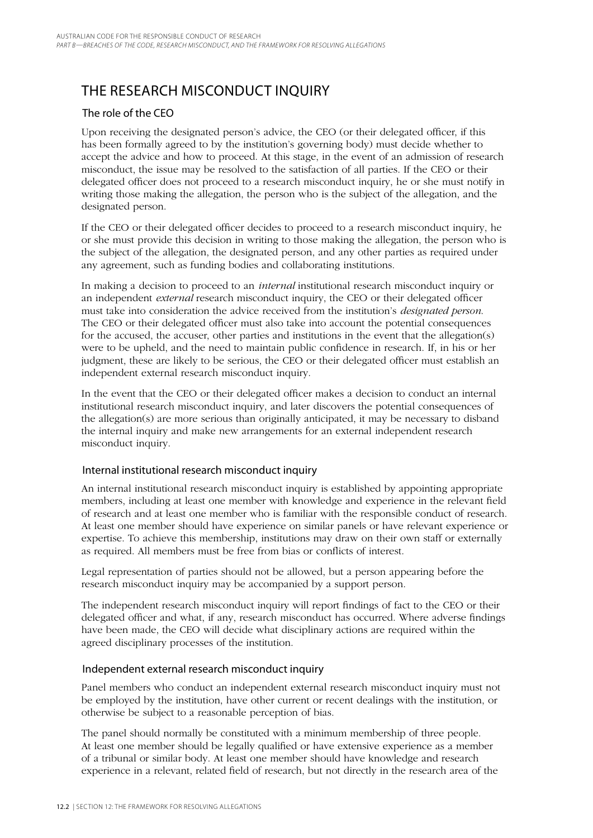## The research misconduct inquiry

### The role of the CEO

Upon receiving the designated person's advice, the CEO (or their delegated officer, if this has been formally agreed to by the institution's governing body) must decide whether to accept the advice and how to proceed. At this stage, in the event of an admission of research misconduct, the issue may be resolved to the satisfaction of all parties. If the CEO or their delegated officer does not proceed to a research misconduct inquiry, he or she must notify in writing those making the allegation, the person who is the subject of the allegation, and the designated person.

If the CEO or their delegated officer decides to proceed to a research misconduct inquiry, he or she must provide this decision in writing to those making the allegation, the person who is the subject of the allegation, the designated person, and any other parties as required under any agreement, such as funding bodies and collaborating institutions.

In making a decision to proceed to an *internal* institutional research misconduct inquiry or an independent *external* research misconduct inquiry, the CEO or their delegated officer must take into consideration the advice received from the institution's *designated person*. The CEO or their delegated officer must also take into account the potential consequences for the accused, the accuser, other parties and institutions in the event that the allegation(s) were to be upheld, and the need to maintain public confidence in research. If, in his or her judgment, these are likely to be serious, the CEO or their delegated officer must establish an independent external research misconduct inquiry.

In the event that the CEO or their delegated officer makes a decision to conduct an internal institutional research misconduct inquiry, and later discovers the potential consequences of the allegation(s) are more serious than originally anticipated, it may be necessary to disband the internal inquiry and make new arrangements for an external independent research misconduct inquiry.

### Internal institutional research misconduct inquiry

An internal institutional research misconduct inquiry is established by appointing appropriate members, including at least one member with knowledge and experience in the relevant field of research and at least one member who is familiar with the responsible conduct of research. At least one member should have experience on similar panels or have relevant experience or expertise. To achieve this membership, institutions may draw on their own staff or externally as required. All members must be free from bias or conflicts of interest.

Legal representation of parties should not be allowed, but a person appearing before the research misconduct inquiry may be accompanied by a support person.

The independent research misconduct inquiry will report findings of fact to the CEO or their delegated officer and what, if any, research misconduct has occurred. Where adverse findings have been made, the CEO will decide what disciplinary actions are required within the agreed disciplinary processes of the institution.

### Independent external research misconduct inquiry

Panel members who conduct an independent external research misconduct inquiry must not be employed by the institution, have other current or recent dealings with the institution, or otherwise be subject to a reasonable perception of bias.

The panel should normally be constituted with a minimum membership of three people. At least one member should be legally qualified or have extensive experience as a member of a tribunal or similar body. At least one member should have knowledge and research experience in a relevant, related field of research, but not directly in the research area of the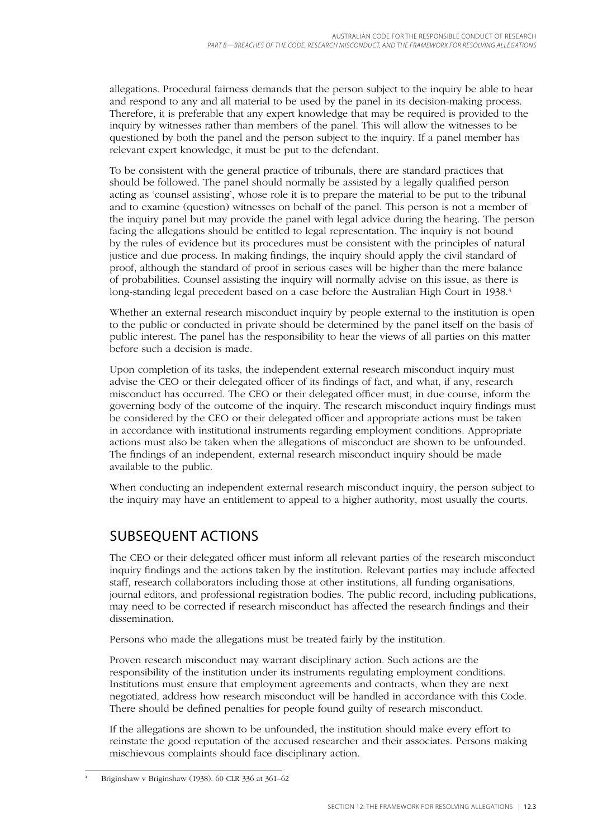allegations. Procedural fairness demands that the person subject to the inquiry be able to hear and respond to any and all material to be used by the panel in its decision-making process. Therefore, it is preferable that any expert knowledge that may be required is provided to the inquiry by witnesses rather than members of the panel. This will allow the witnesses to be questioned by both the panel and the person subject to the inquiry. If a panel member has relevant expert knowledge, it must be put to the defendant.

To be consistent with the general practice of tribunals, there are standard practices that should be followed. The panel should normally be assisted by a legally qualified person acting as 'counsel assisting', whose role it is to prepare the material to be put to the tribunal and to examine (question) witnesses on behalf of the panel. This person is not a member of the inquiry panel but may provide the panel with legal advice during the hearing. The person facing the allegations should be entitled to legal representation. The inquiry is not bound by the rules of evidence but its procedures must be consistent with the principles of natural justice and due process. In making findings, the inquiry should apply the civil standard of proof, although the standard of proof in serious cases will be higher than the mere balance of probabilities. Counsel assisting the inquiry will normally advise on this issue, as there is long-standing legal precedent based on a case before the Australian High Court in 1938.<sup>4</sup>

Whether an external research misconduct inquiry by people external to the institution is open to the public or conducted in private should be determined by the panel itself on the basis of public interest. The panel has the responsibility to hear the views of all parties on this matter before such a decision is made.

Upon completion of its tasks, the independent external research misconduct inquiry must advise the CEO or their delegated officer of its findings of fact, and what, if any, research misconduct has occurred. The CEO or their delegated officer must, in due course, inform the governing body of the outcome of the inquiry. The research misconduct inquiry findings must be considered by the CEO or their delegated officer and appropriate actions must be taken in accordance with institutional instruments regarding employment conditions. Appropriate actions must also be taken when the allegations of misconduct are shown to be unfounded. The findings of an independent, external research misconduct inquiry should be made available to the public.

When conducting an independent external research misconduct inquiry, the person subject to the inquiry may have an entitlement to appeal to a higher authority, most usually the courts.

## Subsequent actions

The CEO or their delegated officer must inform all relevant parties of the research misconduct inquiry findings and the actions taken by the institution. Relevant parties may include affected staff, research collaborators including those at other institutions, all funding organisations, journal editors, and professional registration bodies. The public record, including publications, may need to be corrected if research misconduct has affected the research findings and their dissemination.

Persons who made the allegations must be treated fairly by the institution.

Proven research misconduct may warrant disciplinary action. Such actions are the responsibility of the institution under its instruments regulating employment conditions. Institutions must ensure that employment agreements and contracts, when they are next negotiated, address how research misconduct will be handled in accordance with this Code. There should be defined penalties for people found guilty of research misconduct.

If the allegations are shown to be unfounded, the institution should make every effort to reinstate the good reputation of the accused researcher and their associates. Persons making mischievous complaints should face disciplinary action.

<sup>4</sup> Briginshaw v Briginshaw (1938). 60 CLR 336 at 361–62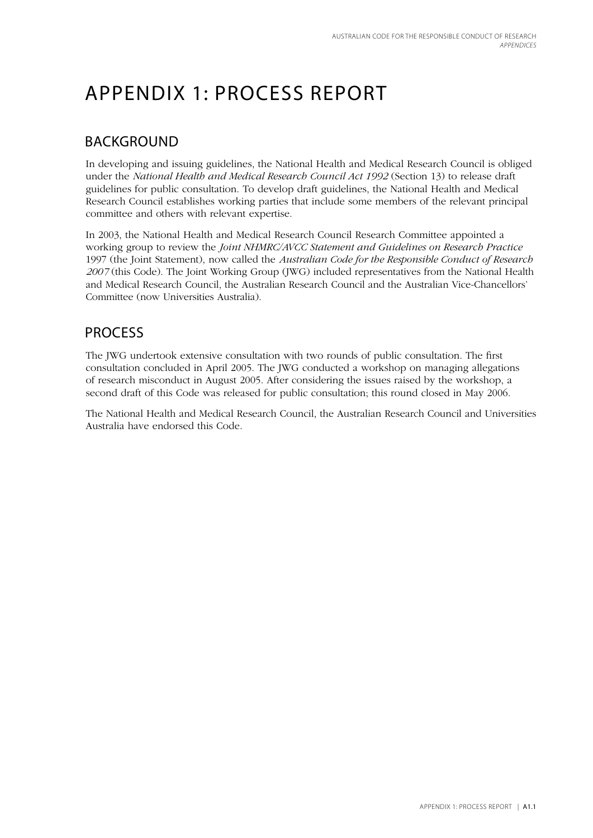# Appendix 1: Process report

## **BACKGROUND**

In developing and issuing guidelines, the National Health and Medical Research Council is obliged under the *National Health and Medical Research Council Act 1992* (Section 13) to release draft guidelines for public consultation. To develop draft guidelines, the National Health and Medical Research Council establishes working parties that include some members of the relevant principal committee and others with relevant expertise.

In 2003, the National Health and Medical Research Council Research Committee appointed a working group to review the *Joint NHMRC/AVCC Statement and Guidelines on Research Practice*  1997 (the Joint Statement), now called the *Australian Code for the Responsible Conduct of Research 2007* (this Code). The Joint Working Group (JWG) included representatives from the National Health and Medical Research Council, the Australian Research Council and the Australian Vice-Chancellors' Committee (now Universities Australia).

## **PROCESS**

The JWG undertook extensive consultation with two rounds of public consultation. The first consultation concluded in April 2005. The JWG conducted a workshop on managing allegations of research misconduct in August 2005. After considering the issues raised by the workshop, a second draft of this Code was released for public consultation; this round closed in May 2006.

The National Health and Medical Research Council, the Australian Research Council and Universities Australia have endorsed this Code.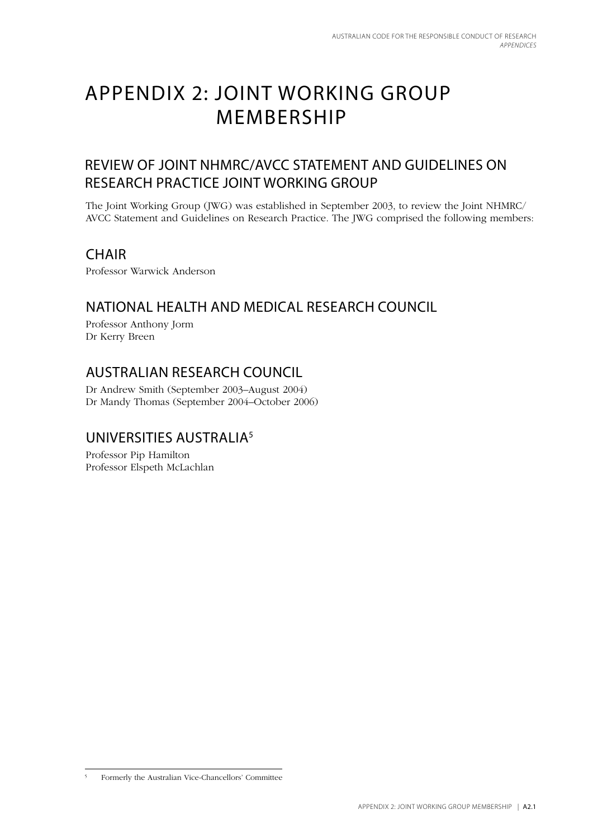## Appendix 2: Joint Working Group **MEMBERSHIP**

## Review of Joint NHMRC/AVCC Statement and Guidelines on Research Practice Joint Working Group

The Joint Working Group (JWG) was established in September 2003, to review the Joint NHMRC/ AVCC Statement and Guidelines on Research Practice. The JWG comprised the following members:

## **CHAIR**

Professor Warwick Anderson

## National Health and Medical Research Council

Professor Anthony Jorm Dr Kerry Breen

## Australian Research Council

Dr Andrew Smith (September 2003–August 2004) Dr Mandy Thomas (September 2004–October 2006)

## Universities Australia5

Professor Pip Hamilton Professor Elspeth McLachlan

<sup>5</sup> Formerly the Australian Vice-Chancellors' Committee